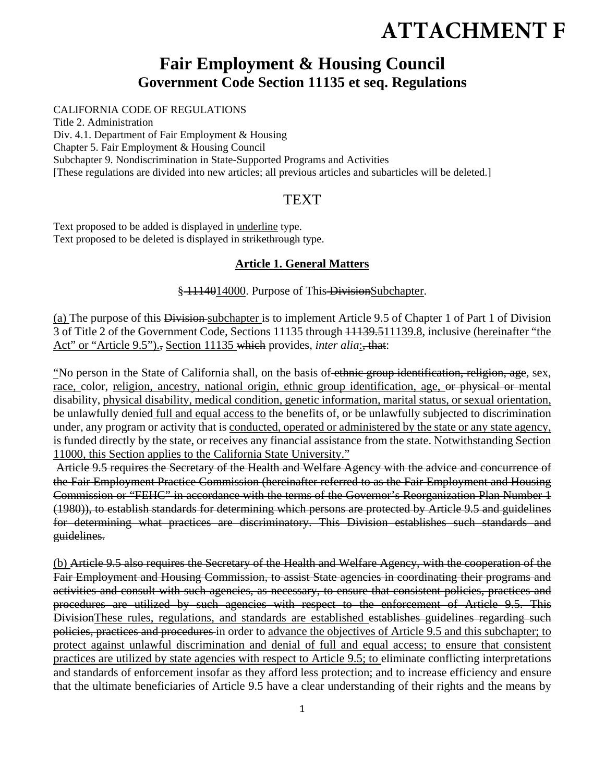# **ATTACHMENT F**

# **Fair Employment & Housing Council Government Code Section 11135 et seq. Regulations**

#### CALIFORNIA CODE OF REGULATIONS

Title 2. Administration Div. 4.1. Department of Fair Employment & Housing Chapter 5. Fair Employment & Housing Council Subchapter 9. Nondiscrimination in State-Supported Programs and Activities [These regulations are divided into new articles; all previous articles and subarticles will be deleted.]

# TEXT

Text proposed to be added is displayed in underline type. Text proposed to be deleted is displayed in strikethrough type.

#### **Article 1. General Matters**

§ 1114014000. Purpose of This-DivisionSubchapter.

(a) The purpose of this Division subchapter is to implement Article 9.5 of Chapter 1 of Part 1 of Division 3 of Title 2 of the Government Code, Sections 11135 through 11139.511139.8, inclusive (hereinafter "the Act" or "Article 9.5")., Section 11135 which provides, *inter alia*:

"No person in the State of California shall, on the basis of ethnic group identification, religion, age, sex, race, color, religion, ancestry, national origin, ethnic group identification, age, or physical or mental disability, physical disability, medical condition, genetic information, marital status, or sexual orientation, be unlawfully denied full and equal access to the benefits of, or be unlawfully subjected to discrimination under, any program or activity that is conducted, operated or administered by the state or any state agency, is funded directly by the state, or receives any financial assistance from the state. Notwithstanding Section 11000, this Section applies to the California State University."

 Article 9.5 requires the Secretary of the Health and Welfare Agency with the advice and concurrence of the Fair Employment Practice Commission (hereinafter referred to as the Fair Employment and Housing Commission or "FEHC" in accordance with the terms of the Governor's Reorganization Plan Number 1 (1980)), to establish standards for determining which persons are protected by Article 9.5 and guidelines for determining what practices are discriminatory. This Division establishes such standards and guidelines.

(b) Article 9.5 also requires the Secretary of the Health and Welfare Agency, with the cooperation of the Fair Employment and Housing Commission, to assist State agencies in coordinating their programs and activities and consult with such agencies, as necessary, to ensure that consistent policies, practices and procedures are utilized by such agencies with respect to the enforcement of Article 9.5. This DivisionThese rules, regulations, and standards are established establishes guidelines regarding such policies, practices and procedures in order to advance the objectives of Article 9.5 and this subchapter; to protect against unlawful discrimination and denial of full and equal access; to ensure that consistent practices are utilized by state agencies with respect to Article 9.5; to eliminate conflicting interpretations and standards of enforcement insofar as they afford less protection; and to increase efficiency and ensure that the ultimate beneficiaries of Article 9.5 have a clear understanding of their rights and the means by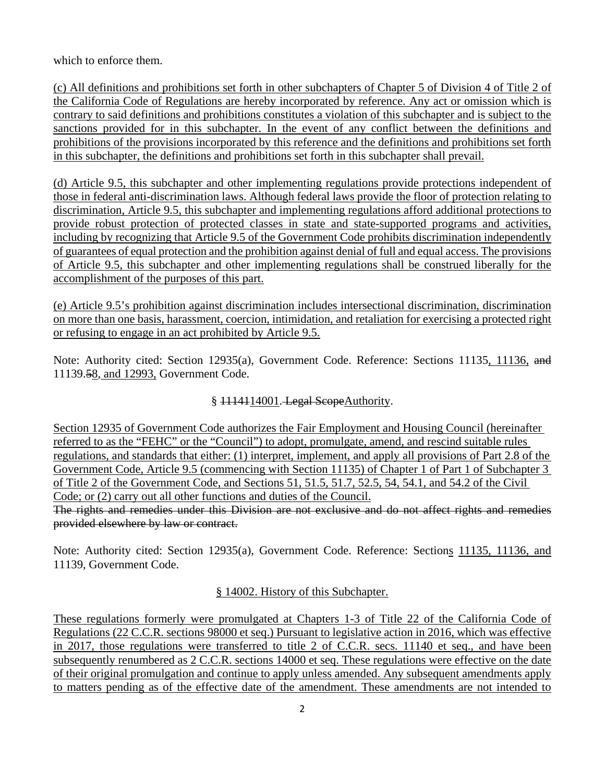which to enforce them.

(c) All definitions and prohibitions set forth in other subchapters of Chapter 5 of Division 4 of Title 2 of the California Code of Regulations are hereby incorporated by reference. Any act or omission which is contrary to said definitions and prohibitions constitutes a violation of this subchapter and is subject to the sanctions provided for in this subchapter. In the event of any conflict between the definitions and prohibitions of the provisions incorporated by this reference and the definitions and prohibitions set forth in this subchapter, the definitions and prohibitions set forth in this subchapter shall prevail.

(d) Article 9.5, this subchapter and other implementing regulations provide protections independent of those in federal anti-discrimination laws. Although federal laws provide the floor of protection relating to discrimination, Article 9.5, this subchapter and implementing regulations afford additional protections to provide robust protection of protected classes in state and state-supported programs and activities, including by recognizing that Article 9.5 of the Government Code prohibits discrimination independently of guarantees of equal protection and the prohibition against denial of full and equal access. The provisions of Article 9.5, this subchapter and other implementing regulations shall be construed liberally for the accomplishment of the purposes of this part.

(e) Article 9.5's prohibition against discrimination includes intersectional discrimination, discrimination on more than one basis, harassment, coercion, intimidation, and retaliation for exercising a protected right or refusing to engage in an act prohibited by Article 9.5.

Note: Authority cited: Section 12935(a), Government Code. Reference: Sections 11135, 11136, and 11139.58, and 12993, Government Code.

#### § 1114114001. Legal ScopeAuthority.

Section 12935 of Government Code authorizes the Fair Employment and Housing Council (hereinafter referred to as the "FEHC" or the "Council") to adopt, promulgate, amend, and rescind suitable rules regulations, and standards that either: (1) interpret, implement, and apply all provisions of Part 2.8 of the Government Code, Article 9.5 (commencing with Section 11135) of Chapter 1 of Part 1 of Subchapter 3 of Title 2 of the Government Code, and Sections 51, 51.5, 51.7, 52.5, 54, 54.1, and 54.2 of the Civil Code; or (2) carry out all other functions and duties of the Council.

The rights and remedies under this Division are not exclusive and do not affect rights and remedies provided elsewhere by law or contract.

Note: Authority cited: Section 12935(a), Government Code. Reference: Sections 11135, 11136, and 11139, Government Code.

#### § 14002. History of this Subchapter.

These regulations formerly were promulgated at Chapters 1-3 of Title 22 of the California Code of Regulations (22 C.C.R. sections 98000 et seq.) Pursuant to legislative action in 2016, which was effective in 2017, those regulations were transferred to title 2 of C.C.R. secs. 11140 et seq., and have been subsequently renumbered as 2 C.C.R. sections 14000 et seq. These regulations were effective on the date of their original promulgation and continue to apply unless amended. Any subsequent amendments apply to matters pending as of the effective date of the amendment. These amendments are not intended to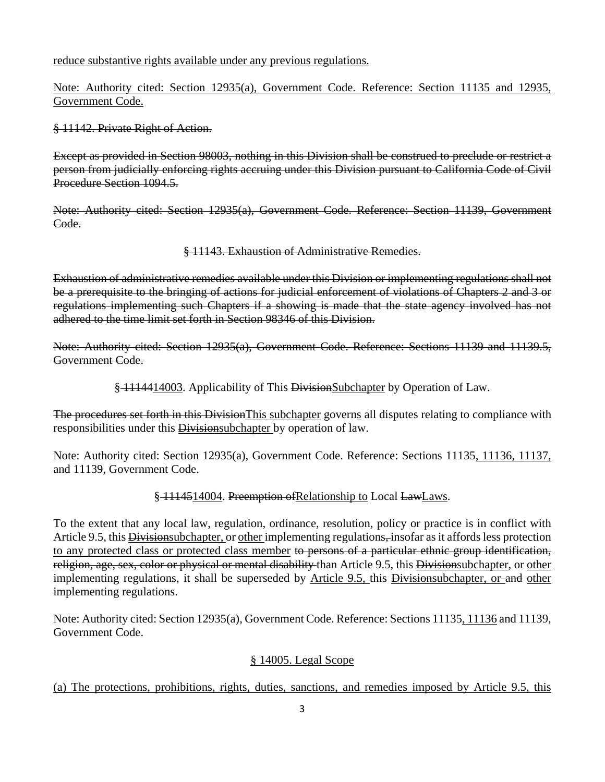reduce substantive rights available under any previous regulations.

Note: Authority cited: Section 12935(a), Government Code. Reference: Section 11135 and 12935, Government Code.

§ 11142. Private Right of Action.

Except as provided in Section 98003, nothing in this Division shall be construed to preclude or restrict a person from judicially enforcing rights accruing under this Division pursuant to California Code of Civil Procedure Section 1094.5.

Note: Authority cited: Section 12935(a), Government Code. Reference: Section 11139, Government Code.

§ 11143. Exhaustion of Administrative Remedies.

Exhaustion of administrative remedies available under this Division or implementing regulations shall not be a prerequisite to the bringing of actions for judicial enforcement of violations of Chapters 2 and 3 or regulations implementing such Chapters if a showing is made that the state agency involved has not adhered to the time limit set forth in Section 98346 of this Division.

Note: Authority cited: Section 12935(a), Government Code. Reference: Sections 11139 and 11139.5, Government Code.

§ 1114414003. Applicability of This DivisionSubchapter by Operation of Law.

The procedures set forth in this DivisionThis subchapter governs all disputes relating to compliance with responsibilities under this Divisionsubchapter by operation of law.

Note: Authority cited: Section 12935(a), Government Code. Reference: Sections 11135, 11136, 11137, and 11139, Government Code.

#### § 1114514004. Preemption of Relationship to Local LawLaws.

To the extent that any local law, regulation, ordinance, resolution, policy or practice is in conflict with Article 9.5, this *Divisionsubchapter*, or other implementing regulations, insofar as it affords less protection to any protected class or protected class member to persons of a particular ethnic group identification, religion, age, sex, color or physical or mental disability than Article 9.5, this Divisionsubchapter, or other implementing regulations, it shall be superseded by Article 9.5, this Divisionsubchapter, or and other implementing regulations.

Note: Authority cited: Section 12935(a), Government Code. Reference: Sections 11135, 11136 and 11139, Government Code.

#### § 14005. Legal Scope

(a) The protections, prohibitions, rights, duties, sanctions, and remedies imposed by Article 9.5, this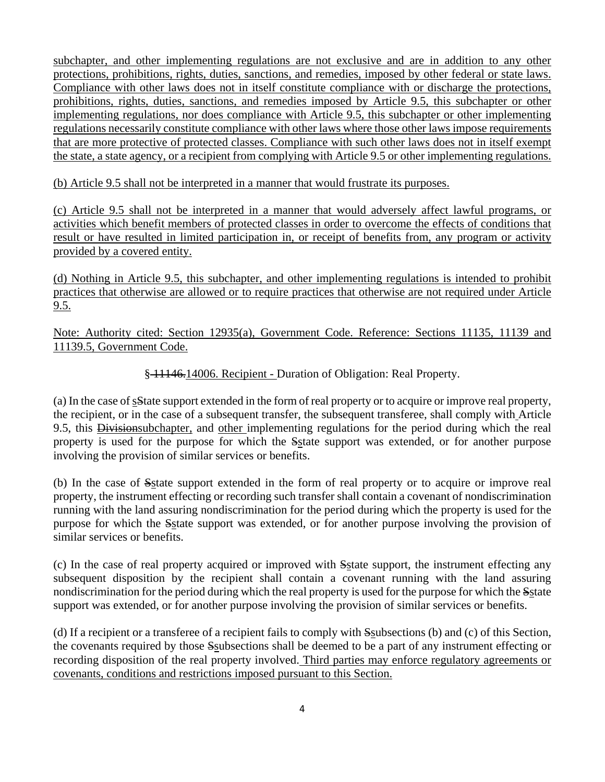subchapter, and other implementing regulations are not exclusive and are in addition to any other protections, prohibitions, rights, duties, sanctions, and remedies, imposed by other federal or state laws. Compliance with other laws does not in itself constitute compliance with or discharge the protections, prohibitions, rights, duties, sanctions, and remedies imposed by Article 9.5, this subchapter or other implementing regulations, nor does compliance with Article 9.5, this subchapter or other implementing regulations necessarily constitute compliance with other laws where those other laws impose requirements that are more protective of protected classes. Compliance with such other laws does not in itself exempt the state, a state agency, or a recipient from complying with Article 9.5 or other implementing regulations.

(b) Article 9.5 shall not be interpreted in a manner that would frustrate its purposes.

(c) Article 9.5 shall not be interpreted in a manner that would adversely affect lawful programs, or activities which benefit members of protected classes in order to overcome the effects of conditions that result or have resulted in limited participation in, or receipt of benefits from, any program or activity provided by a covered entity.

(d) Nothing in Article 9.5, this subchapter, and other implementing regulations is intended to prohibit practices that otherwise are allowed or to require practices that otherwise are not required under Article 9.5.

Note: Authority cited: Section 12935(a), Government Code. Reference: Sections 11135, 11139 and 11139.5, Government Code.

§ 11146.14006. Recipient - Duration of Obligation: Real Property.

(a) In the case of sState support extended in the form of real property or to acquire or improve real property, the recipient, or in the case of a subsequent transfer, the subsequent transferee, shall comply with Article 9.5, this Divisionsubchapter, and other implementing regulations for the period during which the real property is used for the purpose for which the Sstate support was extended, or for another purpose involving the provision of similar services or benefits.

(b) In the case of Sstate support extended in the form of real property or to acquire or improve real property, the instrument effecting or recording such transfer shall contain a covenant of nondiscrimination running with the land assuring nondiscrimination for the period during which the property is used for the purpose for which the Sstate support was extended, or for another purpose involving the provision of similar services or benefits.

(c) In the case of real property acquired or improved with Sstate support, the instrument effecting any subsequent disposition by the recipient shall contain a covenant running with the land assuring nondiscrimination for the period during which the real property is used for the purpose for which the Sstate support was extended, or for another purpose involving the provision of similar services or benefits.

(d) If a recipient or a transferee of a recipient fails to comply with Ssubsections (b) and (c) of this Section, the covenants required by those Ssubsections shall be deemed to be a part of any instrument effecting or recording disposition of the real property involved. Third parties may enforce regulatory agreements or covenants, conditions and restrictions imposed pursuant to this Section.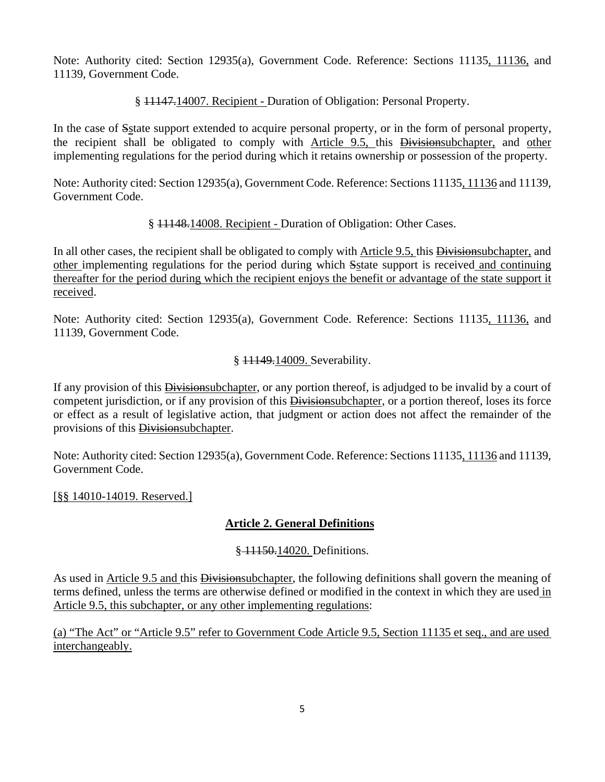Note: Authority cited: Section 12935(a), Government Code. Reference: Sections 11135, 11136, and 11139, Government Code.

§ 11147.14007. Recipient - Duration of Obligation: Personal Property.

In the case of Sstate support extended to acquire personal property, or in the form of personal property, the recipient shall be obligated to comply with Article 9.5, this Divisionsubchapter, and other implementing regulations for the period during which it retains ownership or possession of the property.

Note: Authority cited: Section 12935(a), Government Code. Reference: Sections 11135, 11136 and 11139, Government Code.

§ 11148.14008. Recipient - Duration of Obligation: Other Cases.

In all other cases, the recipient shall be obligated to comply with Article 9.5, this Divisionsubchapter, and other implementing regulations for the period during which Sstate support is received and continuing thereafter for the period during which the recipient enjoys the benefit or advantage of the state support it received.

Note: Authority cited: Section 12935(a), Government Code. Reference: Sections 11135, 11136, and 11139, Government Code.

§ 11149.14009. Severability.

If any provision of this Divisionsubchapter, or any portion thereof, is adjudged to be invalid by a court of competent jurisdiction, or if any provision of this Divisionsubchapter, or a portion thereof, loses its force or effect as a result of legislative action, that judgment or action does not affect the remainder of the provisions of this Divisionsubchapter.

Note: Authority cited: Section 12935(a), Government Code. Reference: Sections 11135, 11136 and 11139, Government Code.

[§§ 14010-14019. Reserved.]

#### **Article 2. General Definitions**

§ 11150.14020. Definitions.

As used in Article 9.5 and this Divisionsubchapter, the following definitions shall govern the meaning of terms defined, unless the terms are otherwise defined or modified in the context in which they are used in Article 9.5, this subchapter, or any other implementing regulations:

(a) "The Act" or "Article 9.5" refer to Government Code Article 9.5, Section 11135 et seq., and are used interchangeably.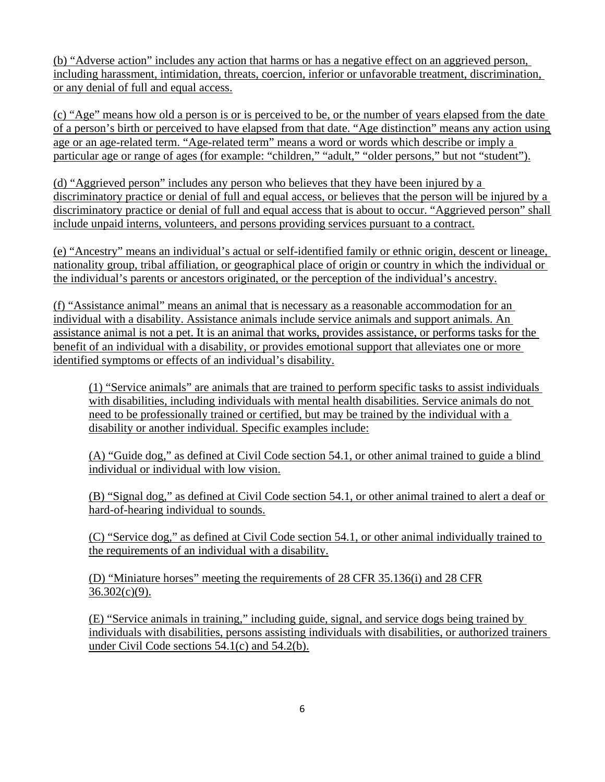(b) "Adverse action" includes any action that harms or has a negative effect on an aggrieved person, including harassment, intimidation, threats, coercion, inferior or unfavorable treatment, discrimination, or any denial of full and equal access.

(c) "Age" means how old a person is or is perceived to be, or the number of years elapsed from the date of a person's birth or perceived to have elapsed from that date. "Age distinction" means any action using age or an age-related term. "Age-related term" means a word or words which describe or imply a particular age or range of ages (for example: "children," "adult," "older persons," but not "student").

(d) "Aggrieved person" includes any person who believes that they have been injured by a discriminatory practice or denial of full and equal access, or believes that the person will be injured by a discriminatory practice or denial of full and equal access that is about to occur. "Aggrieved person" shall include unpaid interns, volunteers, and persons providing services pursuant to a contract.

(e) "Ancestry" means an individual's actual or self-identified family or ethnic origin, descent or lineage, nationality group, tribal affiliation, or geographical place of origin or country in which the individual or the individual's parents or ancestors originated, or the perception of the individual's ancestry.

(f) "Assistance animal" means an animal that is necessary as a reasonable accommodation for an individual with a disability. Assistance animals include service animals and support animals. An assistance animal is not a pet. It is an animal that works, provides assistance, or performs tasks for the benefit of an individual with a disability, or provides emotional support that alleviates one or more identified symptoms or effects of an individual's disability.

(1) "Service animals" are animals that are trained to perform specific tasks to assist individuals with disabilities, including individuals with mental health disabilities. Service animals do not need to be professionally trained or certified, but may be trained by the individual with a disability or another individual. Specific examples include:

(A) "Guide dog," as defined at Civil Code section 54.1, or other animal trained to guide a blind individual or individual with low vision.

(B) "Signal dog," as defined at Civil Code section 54.1, or other animal trained to alert a deaf or hard-of-hearing individual to sounds.

(C) "Service dog," as defined at Civil Code section 54.1, or other animal individually trained to the requirements of an individual with a disability.

(D) "Miniature horses" meeting the requirements of 28 CFR 35.136(i) and 28 CFR  $36.302(c)(9)$ .

(E) "Service animals in training," including guide, signal, and service dogs being trained by individuals with disabilities, persons assisting individuals with disabilities, or authorized trainers under Civil Code sections 54.1(c) and 54.2(b).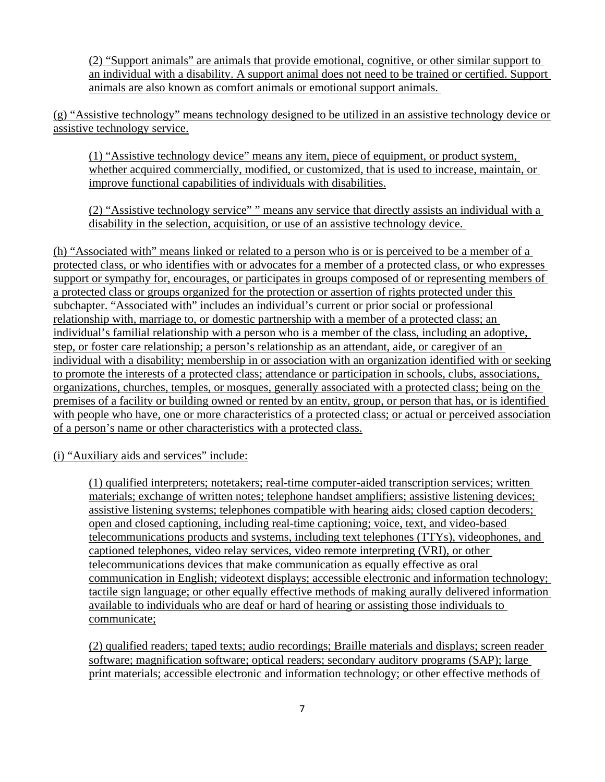(2) "Support animals" are animals that provide emotional, cognitive, or other similar support to an individual with a disability. A support animal does not need to be trained or certified. Support animals are also known as comfort animals or emotional support animals.

(g) "Assistive technology" means technology designed to be utilized in an assistive technology device or assistive technology service.

(1) "Assistive technology device" means any item, piece of equipment, or product system, whether acquired commercially, modified, or customized, that is used to increase, maintain, or improve functional capabilities of individuals with disabilities.

(2) "Assistive technology service" " means any service that directly assists an individual with a disability in the selection, acquisition, or use of an assistive technology device.

(h) "Associated with" means linked or related to a person who is or is perceived to be a member of a protected class, or who identifies with or advocates for a member of a protected class, or who expresses support or sympathy for, encourages, or participates in groups composed of or representing members of a protected class or groups organized for the protection or assertion of rights protected under this subchapter. "Associated with" includes an individual's current or prior social or professional relationship with, marriage to, or domestic partnership with a member of a protected class; an individual's familial relationship with a person who is a member of the class, including an adoptive, step, or foster care relationship; a person's relationship as an attendant, aide, or caregiver of an individual with a disability; membership in or association with an organization identified with or seeking to promote the interests of a protected class; attendance or participation in schools, clubs, associations, organizations, churches, temples, or mosques, generally associated with a protected class; being on the premises of a facility or building owned or rented by an entity, group, or person that has, or is identified with people who have, one or more characteristics of a protected class; or actual or perceived association of a person's name or other characteristics with a protected class.

#### (i) "Auxiliary aids and services" include:

(1) qualified interpreters; notetakers; real-time computer-aided transcription services; written materials; exchange of written notes; telephone handset amplifiers; assistive listening devices; assistive listening systems; telephones compatible with hearing aids; closed caption decoders; open and closed captioning, including real-time captioning; voice, text, and video-based telecommunications products and systems, including text telephones (TTYs), videophones, and captioned telephones, video relay services, video remote interpreting (VRI), or other telecommunications devices that make communication as equally effective as oral communication in English; videotext displays; accessible electronic and information technology; tactile sign language; or other equally effective methods of making aurally delivered information available to individuals who are deaf or hard of hearing or assisting those individuals to communicate;

(2) qualified readers; taped texts; audio recordings; Braille materials and displays; screen reader software; magnification software; optical readers; secondary auditory programs (SAP); large print materials; accessible electronic and information technology; or other effective methods of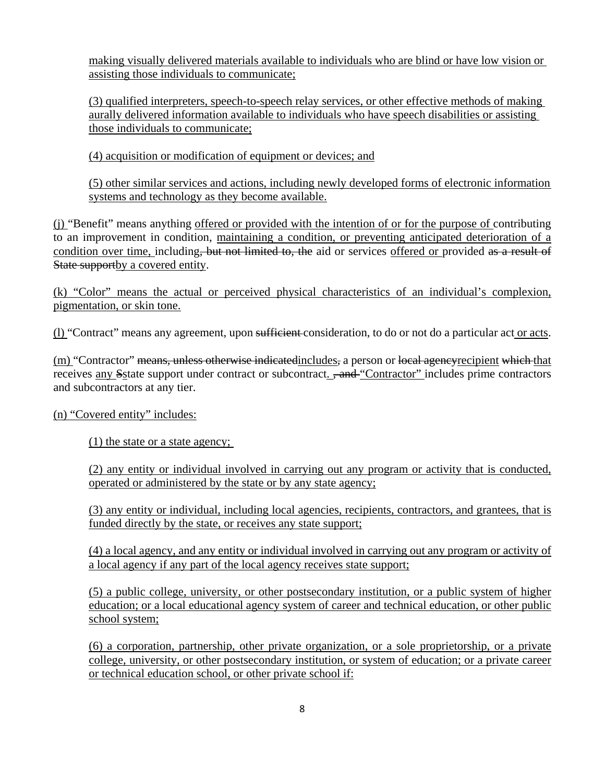making visually delivered materials available to individuals who are blind or have low vision or assisting those individuals to communicate;

(3) qualified interpreters, speech-to-speech relay services, or other effective methods of making aurally delivered information available to individuals who have speech disabilities or assisting those individuals to communicate;

(4) acquisition or modification of equipment or devices; and

(5) other similar services and actions, including newly developed forms of electronic information systems and technology as they become available.

(j) "Benefit" means anything offered or provided with the intention of or for the purpose of contributing to an improvement in condition, maintaining a condition, or preventing anticipated deterioration of a condition over time, including<del>, but not limited to, the</del> aid or services offered or provided as a result of State supportby a covered entity.

(k) "Color" means the actual or perceived physical characteristics of an individual's complexion, pigmentation, or skin tone.

(l) "Contract" means any agreement, upon sufficient consideration, to do or not do a particular act or acts.

(m) "Contractor" means, unless otherwise indicatedincludes, a person or local agencyrecipient which that receives any Sstate support under contract or subcontract. <del>, and</del> "Contractor" includes prime contractors and subcontractors at any tier.

(n) "Covered entity" includes:

(1) the state or a state agency;

(2) any entity or individual involved in carrying out any program or activity that is conducted, operated or administered by the state or by any state agency;

(3) any entity or individual, including local agencies, recipients, contractors, and grantees, that is funded directly by the state, or receives any state support;

(4) a local agency, and any entity or individual involved in carrying out any program or activity of a local agency if any part of the local agency receives state support;

(5) a public college, university, or other postsecondary institution, or a public system of higher education; or a local educational agency system of career and technical education, or other public school system;

(6) a corporation, partnership, other private organization, or a sole proprietorship, or a private college, university, or other postsecondary institution, or system of education; or a private career or technical education school, or other private school if: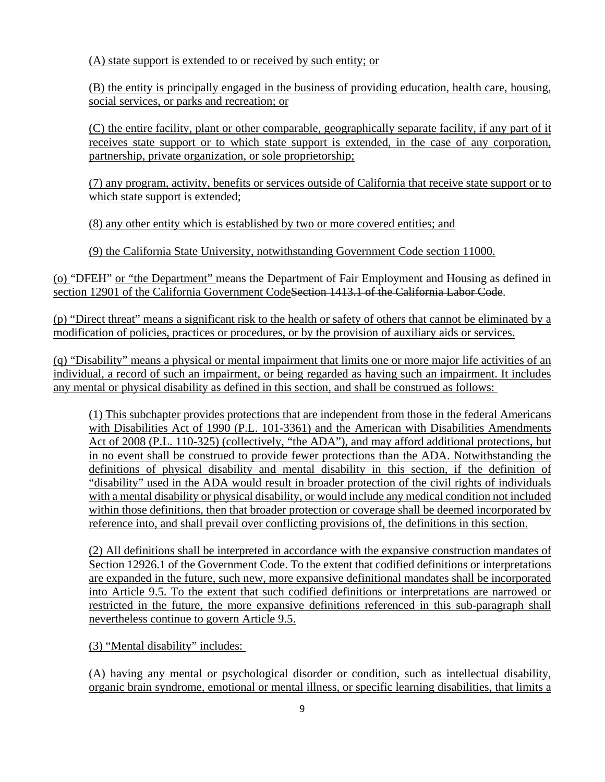(A) state support is extended to or received by such entity; or

(B) the entity is principally engaged in the business of providing education, health care, housing, social services, or parks and recreation; or

(C) the entire facility, plant or other comparable, geographically separate facility, if any part of it receives state support or to which state support is extended, in the case of any corporation, partnership, private organization, or sole proprietorship;

(7) any program, activity, benefits or services outside of California that receive state support or to which state support is extended;

(8) any other entity which is established by two or more covered entities; and

(9) the California State University, notwithstanding Government Code section 11000.

(o) "DFEH" or "the Department" means the Department of Fair Employment and Housing as defined in section 12901 of the California Government CodeSection 1413.1 of the California Labor Code.

(p) "Direct threat" means a significant risk to the health or safety of others that cannot be eliminated by a modification of policies, practices or procedures, or by the provision of auxiliary aids or services.

(q) "Disability" means a physical or mental impairment that limits one or more major life activities of an individual, a record of such an impairment, or being regarded as having such an impairment. It includes any mental or physical disability as defined in this section, and shall be construed as follows:

(1) This subchapter provides protections that are independent from those in the federal Americans with Disabilities Act of 1990 (P.L. 101-3361) and the American with Disabilities Amendments Act of 2008 (P.L. 110-325) (collectively, "the ADA"), and may afford additional protections, but in no event shall be construed to provide fewer protections than the ADA. Notwithstanding the definitions of physical disability and mental disability in this section, if the definition of "disability" used in the ADA would result in broader protection of the civil rights of individuals with a mental disability or physical disability, or would include any medical condition not included within those definitions, then that broader protection or coverage shall be deemed incorporated by reference into, and shall prevail over conflicting provisions of, the definitions in this section.

(2) All definitions shall be interpreted in accordance with the expansive construction mandates of Section 12926.1 of the Government Code. To the extent that codified definitions or interpretations are expanded in the future, such new, more expansive definitional mandates shall be incorporated into Article 9.5. To the extent that such codified definitions or interpretations are narrowed or restricted in the future, the more expansive definitions referenced in this sub-paragraph shall nevertheless continue to govern Article 9.5.

(3) "Mental disability" includes:

(A) having any mental or psychological disorder or condition, such as intellectual disability, organic brain syndrome, emotional or mental illness, or specific learning disabilities, that limits a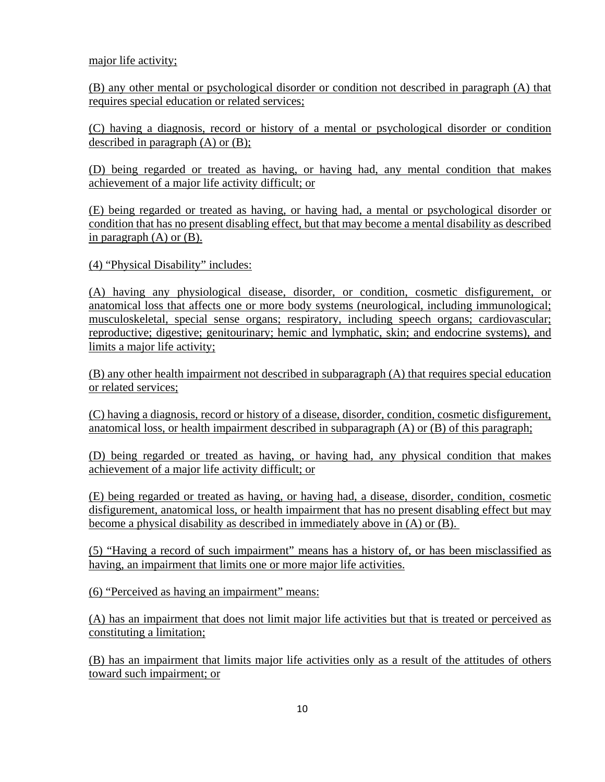major life activity;

(B) any other mental or psychological disorder or condition not described in paragraph (A) that requires special education or related services;

(C) having a diagnosis, record or history of a mental or psychological disorder or condition described in paragraph (A) or (B);

(D) being regarded or treated as having, or having had, any mental condition that makes achievement of a major life activity difficult; or

(E) being regarded or treated as having, or having had, a mental or psychological disorder or condition that has no present disabling effect, but that may become a mental disability as described in paragraph  $(A)$  or  $(B)$ .

(4) "Physical Disability" includes:

(A) having any physiological disease, disorder, or condition, cosmetic disfigurement, or anatomical loss that affects one or more body systems (neurological, including immunological; musculoskeletal, special sense organs; respiratory, including speech organs; cardiovascular; reproductive; digestive; genitourinary; hemic and lymphatic, skin; and endocrine systems), and limits a major life activity;

(B) any other health impairment not described in subparagraph (A) that requires special education or related services;

(C) having a diagnosis, record or history of a disease, disorder, condition, cosmetic disfigurement, anatomical loss, or health impairment described in subparagraph (A) or (B) of this paragraph;

(D) being regarded or treated as having, or having had, any physical condition that makes achievement of a major life activity difficult; or

(E) being regarded or treated as having, or having had, a disease, disorder, condition, cosmetic disfigurement, anatomical loss, or health impairment that has no present disabling effect but may become a physical disability as described in immediately above in (A) or (B).

(5) "Having a record of such impairment" means has a history of, or has been misclassified as having, an impairment that limits one or more major life activities.

(6) "Perceived as having an impairment" means:

(A) has an impairment that does not limit major life activities but that is treated or perceived as constituting a limitation;

(B) has an impairment that limits major life activities only as a result of the attitudes of others toward such impairment; or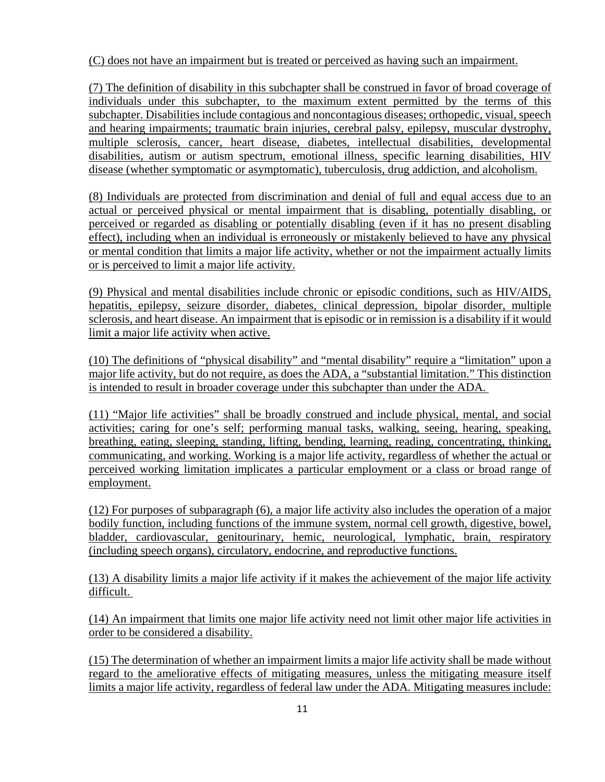(C) does not have an impairment but is treated or perceived as having such an impairment.

(7) The definition of disability in this subchapter shall be construed in favor of broad coverage of individuals under this subchapter, to the maximum extent permitted by the terms of this subchapter. Disabilities include contagious and noncontagious diseases; orthopedic, visual, speech and hearing impairments; traumatic brain injuries, cerebral palsy, epilepsy, muscular dystrophy, multiple sclerosis, cancer, heart disease, diabetes, intellectual disabilities, developmental disabilities, autism or autism spectrum, emotional illness, specific learning disabilities, HIV disease (whether symptomatic or asymptomatic), tuberculosis, drug addiction, and alcoholism.

(8) Individuals are protected from discrimination and denial of full and equal access due to an actual or perceived physical or mental impairment that is disabling, potentially disabling, or perceived or regarded as disabling or potentially disabling (even if it has no present disabling effect), including when an individual is erroneously or mistakenly believed to have any physical or mental condition that limits a major life activity, whether or not the impairment actually limits or is perceived to limit a major life activity.

(9) Physical and mental disabilities include chronic or episodic conditions, such as HIV/AIDS, hepatitis, epilepsy, seizure disorder, diabetes, clinical depression, bipolar disorder, multiple sclerosis, and heart disease. An impairment that is episodic or in remission is a disability if it would limit a major life activity when active.

(10) The definitions of "physical disability" and "mental disability" require a "limitation" upon a major life activity, but do not require, as does the ADA, a "substantial limitation." This distinction is intended to result in broader coverage under this subchapter than under the ADA.

(11) "Major life activities" shall be broadly construed and include physical, mental, and social activities; caring for one's self; performing manual tasks, walking, seeing, hearing, speaking, breathing, eating, sleeping, standing, lifting, bending, learning, reading, concentrating, thinking, communicating, and working. Working is a major life activity, regardless of whether the actual or perceived working limitation implicates a particular employment or a class or broad range of employment.

(12) For purposes of subparagraph (6), a major life activity also includes the operation of a major bodily function, including functions of the immune system, normal cell growth, digestive, bowel, bladder, cardiovascular, genitourinary, hemic, neurological, lymphatic, brain, respiratory (including speech organs), circulatory, endocrine, and reproductive functions.

(13) A disability limits a major life activity if it makes the achievement of the major life activity difficult.

(14) An impairment that limits one major life activity need not limit other major life activities in order to be considered a disability.

(15) The determination of whether an impairment limits a major life activity shall be made without regard to the ameliorative effects of mitigating measures, unless the mitigating measure itself limits a major life activity, regardless of federal law under the ADA. Mitigating measures include: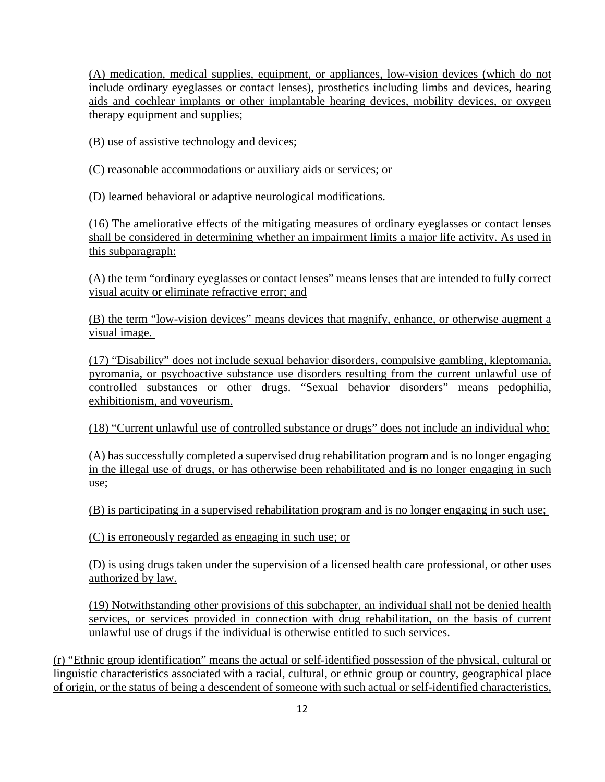(A) medication, medical supplies, equipment, or appliances, low-vision devices (which do not include ordinary eyeglasses or contact lenses), prosthetics including limbs and devices, hearing aids and cochlear implants or other implantable hearing devices, mobility devices, or oxygen therapy equipment and supplies;

(B) use of assistive technology and devices;

(C) reasonable accommodations or auxiliary aids or services; or

(D) learned behavioral or adaptive neurological modifications.

(16) The ameliorative effects of the mitigating measures of ordinary eyeglasses or contact lenses shall be considered in determining whether an impairment limits a major life activity. As used in this subparagraph:

(A) the term "ordinary eyeglasses or contact lenses" means lenses that are intended to fully correct visual acuity or eliminate refractive error; and

(B) the term "low-vision devices" means devices that magnify, enhance, or otherwise augment a visual image.

(17) "Disability" does not include sexual behavior disorders, compulsive gambling, kleptomania, pyromania, or psychoactive substance use disorders resulting from the current unlawful use of controlled substances or other drugs. "Sexual behavior disorders" means pedophilia, exhibitionism, and voyeurism.

(18) "Current unlawful use of controlled substance or drugs" does not include an individual who:

(A) has successfully completed a supervised drug rehabilitation program and is no longer engaging in the illegal use of drugs, or has otherwise been rehabilitated and is no longer engaging in such use;

(B) is participating in a supervised rehabilitation program and is no longer engaging in such use;

(C) is erroneously regarded as engaging in such use; or

(D) is using drugs taken under the supervision of a licensed health care professional, or other uses authorized by law.

(19) Notwithstanding other provisions of this subchapter, an individual shall not be denied health services, or services provided in connection with drug rehabilitation, on the basis of current unlawful use of drugs if the individual is otherwise entitled to such services.

(r) "Ethnic group identification" means the actual or self-identified possession of the physical, cultural or linguistic characteristics associated with a racial, cultural, or ethnic group or country, geographical place of origin, or the status of being a descendent of someone with such actual or self-identified characteristics,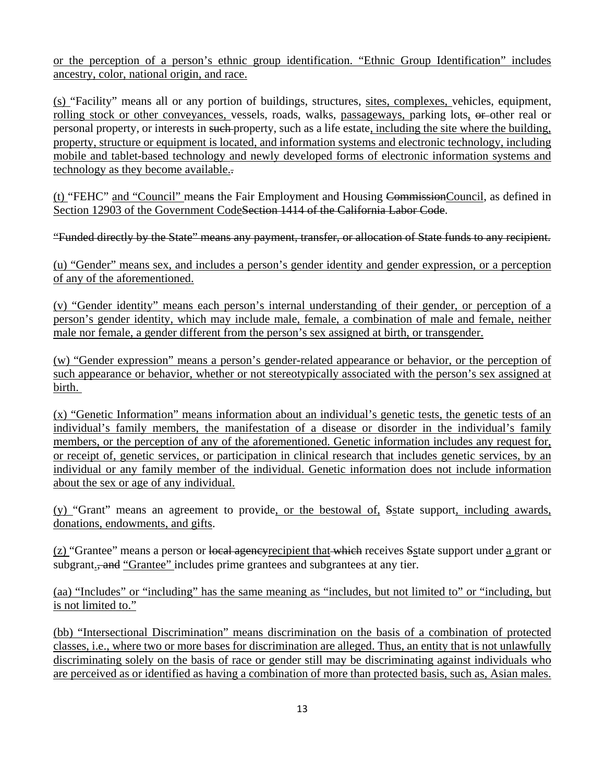or the perception of a person's ethnic group identification. "Ethnic Group Identification" includes ancestry, color, national origin, and race.

(s) "Facility" means all or any portion of buildings, structures, sites, complexes, vehicles, equipment, rolling stock or other conveyances, vessels, roads, walks, passageways, parking lots, or other real or personal property, or interests in such property, such as a life estate, including the site where the building, property, structure or equipment is located, and information systems and electronic technology, including mobile and tablet-based technology and newly developed forms of electronic information systems and technology as they become available..

(t) "FEHC" and "Council" means the Fair Employment and Housing CommissionCouncil, as defined in Section 12903 of the Government CodeSection 1414 of the California Labor Code.

"Funded directly by the State" means any payment, transfer, or allocation of State funds to any recipient.

(u) "Gender" means sex, and includes a person's gender identity and gender expression, or a perception of any of the aforementioned.

(v) "Gender identity" means each person's internal understanding of their gender, or perception of a person's gender identity, which may include male, female, a combination of male and female, neither male nor female, a gender different from the person's sex assigned at birth, or transgender.

(w) "Gender expression" means a person's gender-related appearance or behavior, or the perception of such appearance or behavior, whether or not stereotypically associated with the person's sex assigned at birth.

(x) "Genetic Information" means information about an individual's genetic tests, the genetic tests of an individual's family members, the manifestation of a disease or disorder in the individual's family members, or the perception of any of the aforementioned. Genetic information includes any request for, or receipt of, genetic services, or participation in clinical research that includes genetic services, by an individual or any family member of the individual. Genetic information does not include information about the sex or age of any individual.

(y) "Grant" means an agreement to provide, or the bestowal of, Sstate support, including awards, donations, endowments, and gifts.

(z) "Grantee" means a person or local agency recipient that which receives S state support under a grant or subgrant., and "Grantee" includes prime grantees and subgrantees at any tier.

(aa) "Includes" or "including" has the same meaning as "includes, but not limited to" or "including, but is not limited to."

(bb) "Intersectional Discrimination" means discrimination on the basis of a combination of protected classes, i.e., where two or more bases for discrimination are alleged. Thus, an entity that is not unlawfully discriminating solely on the basis of race or gender still may be discriminating against individuals who are perceived as or identified as having a combination of more than protected basis, such as, Asian males.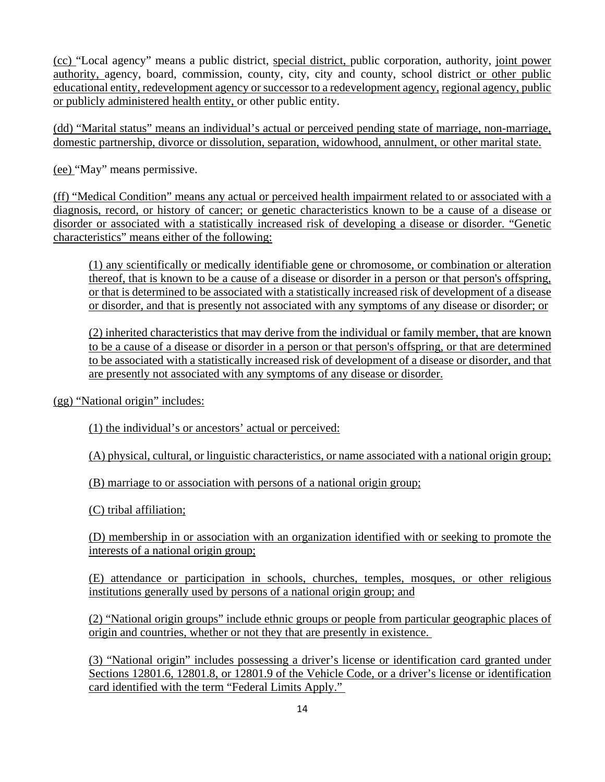(cc) "Local agency" means a public district, special district, public corporation, authority, joint power authority, agency, board, commission, county, city, city and county, school district or other public educational entity, redevelopment agency or successor to a redevelopment agency, regional agency, public or publicly administered health entity, or other public entity.

(dd) "Marital status" means an individual's actual or perceived pending state of marriage, non-marriage, domestic partnership, divorce or dissolution, separation, widowhood, annulment, or other marital state.

(ee) "May" means permissive.

(ff) "Medical Condition" means any actual or perceived health impairment related to or associated with a diagnosis, record, or history of cancer; or genetic characteristics known to be a cause of a disease or disorder or associated with a statistically increased risk of developing a disease or disorder. "Genetic characteristics" means either of the following:

(1) any scientifically or medically identifiable gene or chromosome, or combination or alteration thereof, that is known to be a cause of a disease or disorder in a person or that person's offspring, or that is determined to be associated with a statistically increased risk of development of a disease or disorder, and that is presently not associated with any symptoms of any disease or disorder; or

(2) inherited characteristics that may derive from the individual or family member, that are known to be a cause of a disease or disorder in a person or that person's offspring, or that are determined to be associated with a statistically increased risk of development of a disease or disorder, and that are presently not associated with any symptoms of any disease or disorder.

(gg) "National origin" includes:

(1) the individual's or ancestors' actual or perceived:

(A) physical, cultural, or linguistic characteristics, or name associated with a national origin group;

(B) marriage to or association with persons of a national origin group;

(C) tribal affiliation;

(D) membership in or association with an organization identified with or seeking to promote the interests of a national origin group;

(E) attendance or participation in schools, churches, temples, mosques, or other religious institutions generally used by persons of a national origin group; and

(2) "National origin groups" include ethnic groups or people from particular geographic places of origin and countries, whether or not they that are presently in existence.

(3) "National origin" includes possessing a driver's license or identification card granted under Sections 12801.6, 12801.8, or 12801.9 of the Vehicle Code, or a driver's license or identification card identified with the term "Federal Limits Apply."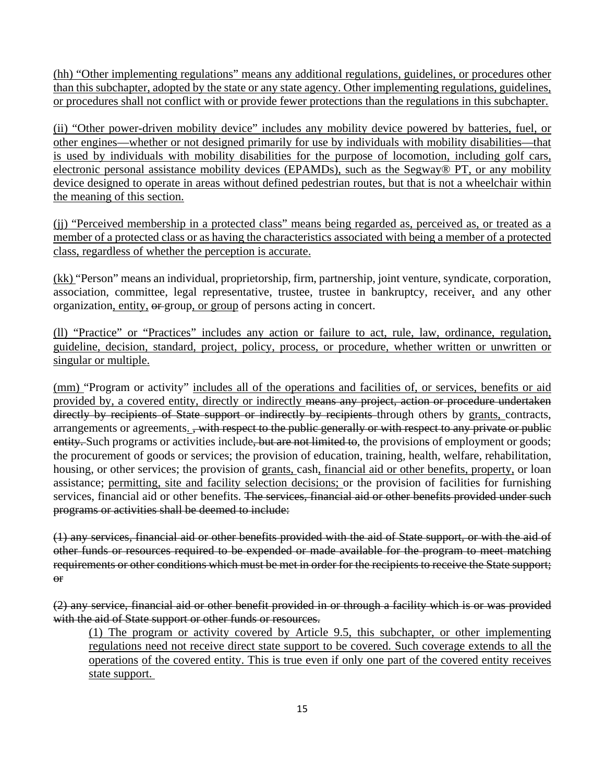(hh) "Other implementing regulations" means any additional regulations, guidelines, or procedures other than this subchapter, adopted by the state or any state agency. Other implementing regulations, guidelines, or procedures shall not conflict with or provide fewer protections than the regulations in this subchapter.

(ii) "Other power-driven mobility device" includes any mobility device powered by batteries, fuel, or other engines—whether or not designed primarily for use by individuals with mobility disabilities—that is used by individuals with mobility disabilities for the purpose of locomotion, including golf cars, electronic personal assistance mobility devices (EPAMDs), such as the Segway® PT, or any mobility device designed to operate in areas without defined pedestrian routes, but that is not a wheelchair within the meaning of this section.

(jj) "Perceived membership in a protected class" means being regarded as, perceived as, or treated as a member of a protected class or as having the characteristics associated with being a member of a protected class, regardless of whether the perception is accurate.

(kk) "Person" means an individual, proprietorship, firm, partnership, joint venture, syndicate, corporation, association, committee, legal representative, trustee, trustee in bankruptcy, receiver, and any other organization, entity, or group, or group of persons acting in concert.

(ll) "Practice" or "Practices" includes any action or failure to act, rule, law, ordinance, regulation, guideline, decision, standard, project, policy, process, or procedure, whether written or unwritten or singular or multiple.

(mm) "Program or activity" includes all of the operations and facilities of, or services, benefits or aid provided by, a covered entity, directly or indirectly means any project, action or procedure undertaken directly by recipients of State support or indirectly by recipients through others by grants, contracts, arrangements or agreements. <del>, with respect to the public generally or with respect to any private or public</del> entity. Such programs or activities include, but are not limited to, the provisions of employment or goods; the procurement of goods or services; the provision of education, training, health, welfare, rehabilitation, housing, or other services; the provision of grants, cash, financial aid or other benefits, property, or loan assistance; permitting, site and facility selection decisions; or the provision of facilities for furnishing services, financial aid or other benefits. The services, financial aid or other benefits provided under such programs or activities shall be deemed to include:

(1) any services, financial aid or other benefits provided with the aid of State support, or with the aid of other funds or resources required to be expended or made available for the program to meet matching requirements or other conditions which must be met in order for the recipients to receive the State support; or

(2) any service, financial aid or other benefit provided in or through a facility which is or was provided with the aid of State support or other funds or resources.

(1) The program or activity covered by Article 9.5, this subchapter, or other implementing regulations need not receive direct state support to be covered. Such coverage extends to all the operations of the covered entity. This is true even if only one part of the covered entity receives state support.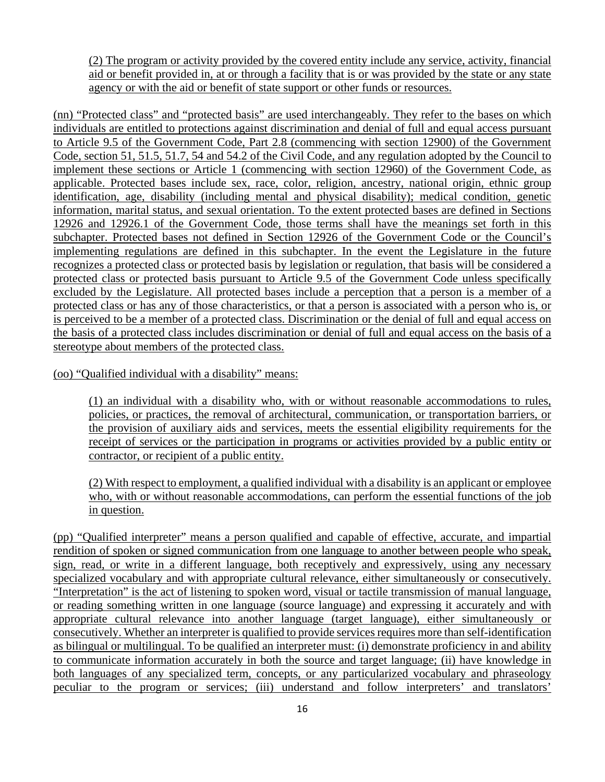(2) The program or activity provided by the covered entity include any service, activity, financial aid or benefit provided in, at or through a facility that is or was provided by the state or any state agency or with the aid or benefit of state support or other funds or resources.

(nn) "Protected class" and "protected basis" are used interchangeably. They refer to the bases on which individuals are entitled to protections against discrimination and denial of full and equal access pursuant to Article 9.5 of the Government Code, Part 2.8 (commencing with section 12900) of the Government Code, section 51, 51.5, 51.7, 54 and 54.2 of the Civil Code, and any regulation adopted by the Council to implement these sections or Article 1 (commencing with section 12960) of the Government Code, as applicable. Protected bases include sex, race, color, religion, ancestry, national origin, ethnic group identification, age, disability (including mental and physical disability); medical condition, genetic information, marital status, and sexual orientation. To the extent protected bases are defined in Sections 12926 and 12926.1 of the Government Code, those terms shall have the meanings set forth in this subchapter. Protected bases not defined in Section 12926 of the Government Code or the Council's implementing regulations are defined in this subchapter. In the event the Legislature in the future recognizes a protected class or protected basis by legislation or regulation, that basis will be considered a protected class or protected basis pursuant to Article 9.5 of the Government Code unless specifically excluded by the Legislature. All protected bases include a perception that a person is a member of a protected class or has any of those characteristics, or that a person is associated with a person who is, or is perceived to be a member of a protected class. Discrimination or the denial of full and equal access on the basis of a protected class includes discrimination or denial of full and equal access on the basis of a stereotype about members of the protected class.

(oo) "Qualified individual with a disability" means:

(1) an individual with a disability who, with or without reasonable accommodations to rules, policies, or practices, the removal of architectural, communication, or transportation barriers, or the provision of auxiliary aids and services, meets the essential eligibility requirements for the receipt of services or the participation in programs or activities provided by a public entity or contractor, or recipient of a public entity.

(2) With respect to employment, a qualified individual with a disability is an applicant or employee who, with or without reasonable accommodations, can perform the essential functions of the job in question.

(pp) "Qualified interpreter" means a person qualified and capable of effective, accurate, and impartial rendition of spoken or signed communication from one language to another between people who speak, sign, read, or write in a different language, both receptively and expressively, using any necessary specialized vocabulary and with appropriate cultural relevance, either simultaneously or consecutively. "Interpretation" is the act of listening to spoken word, visual or tactile transmission of manual language, or reading something written in one language (source language) and expressing it accurately and with appropriate cultural relevance into another language (target language), either simultaneously or consecutively. Whether an interpreter is qualified to provide services requires more than self-identification as bilingual or multilingual. To be qualified an interpreter must: (i) demonstrate proficiency in and ability to communicate information accurately in both the source and target language; (ii) have knowledge in both languages of any specialized term, concepts, or any particularized vocabulary and phraseology peculiar to the program or services; (iii) understand and follow interpreters' and translators'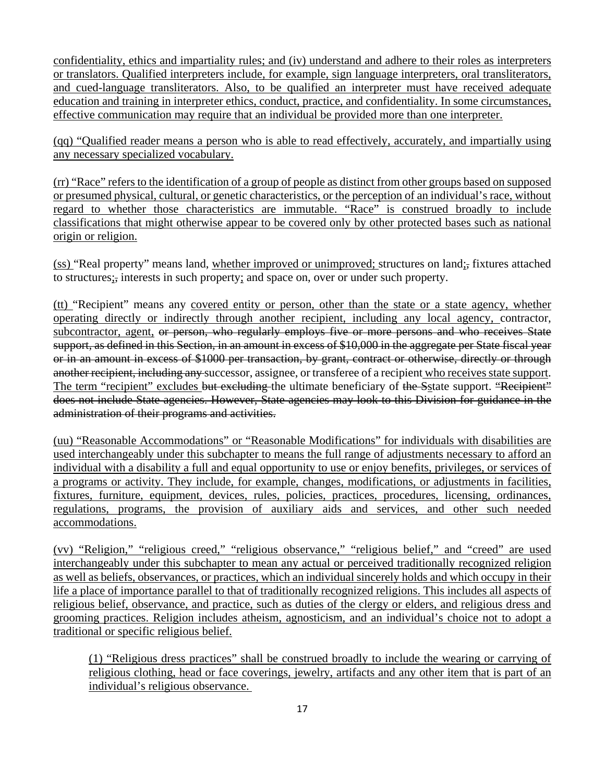confidentiality, ethics and impartiality rules; and (iv) understand and adhere to their roles as interpreters or translators. Qualified interpreters include, for example, sign language interpreters, oral transliterators, and cued-language transliterators. Also, to be qualified an interpreter must have received adequate education and training in interpreter ethics, conduct, practice, and confidentiality. In some circumstances, effective communication may require that an individual be provided more than one interpreter.

(qq) "Qualified reader means a person who is able to read effectively, accurately, and impartially using any necessary specialized vocabulary.

(rr) "Race" refers to the identification of a group of people as distinct from other groups based on supposed or presumed physical, cultural, or genetic characteristics, or the perception of an individual's race, without regard to whether those characteristics are immutable. "Race" is construed broadly to include classifications that might otherwise appear to be covered only by other protected bases such as national origin or religion.

(ss) "Real property" means land, whether improved or unimproved; structures on land;, fixtures attached to structures;, interests in such property; and space on, over or under such property.

(tt) "Recipient" means any covered entity or person, other than the state or a state agency, whether operating directly or indirectly through another recipient, including any local agency, contractor, subcontractor, agent, or person, who regularly employs five or more persons and who receives State support, as defined in this Section, in an amount in excess of \$10,000 in the aggregate per State fiscal year or in an amount in excess of \$1000 per transaction, by grant, contract or otherwise, directly or through another recipient, including any successor, assignee, or transferee of a recipient who receives state support. The term "recipient" excludes but excluding the ultimate beneficiary of the Sstate support. "Recipient" does not include State agencies. However, State agencies may look to this Division for guidance in the administration of their programs and activities.

(uu) "Reasonable Accommodations" or "Reasonable Modifications" for individuals with disabilities are used interchangeably under this subchapter to means the full range of adjustments necessary to afford an individual with a disability a full and equal opportunity to use or enjoy benefits, privileges, or services of a programs or activity. They include, for example, changes, modifications, or adjustments in facilities, fixtures, furniture, equipment, devices, rules, policies, practices, procedures, licensing, ordinances, regulations, programs, the provision of auxiliary aids and services, and other such needed accommodations.

(vv) "Religion," "religious creed," "religious observance," "religious belief," and "creed" are used interchangeably under this subchapter to mean any actual or perceived traditionally recognized religion as well as beliefs, observances, or practices, which an individual sincerely holds and which occupy in their life a place of importance parallel to that of traditionally recognized religions. This includes all aspects of religious belief, observance, and practice, such as duties of the clergy or elders, and religious dress and grooming practices. Religion includes atheism, agnosticism, and an individual's choice not to adopt a traditional or specific religious belief.

(1) "Religious dress practices" shall be construed broadly to include the wearing or carrying of religious clothing, head or face coverings, jewelry, artifacts and any other item that is part of an individual's religious observance.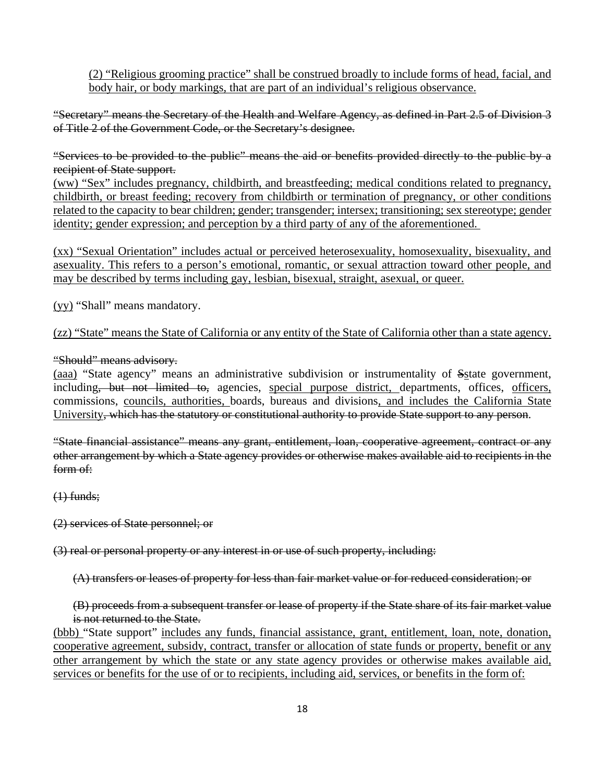(2) "Religious grooming practice" shall be construed broadly to include forms of head, facial, and body hair, or body markings, that are part of an individual's religious observance.

"Secretary" means the Secretary of the Health and Welfare Agency, as defined in Part 2.5 of Division 3 of Title 2 of the Government Code, or the Secretary's designee.

"Services to be provided to the public" means the aid or benefits provided directly to the public by a recipient of State support.

(ww) "Sex" includes pregnancy, childbirth, and breastfeeding; medical conditions related to pregnancy, childbirth, or breast feeding; recovery from childbirth or termination of pregnancy, or other conditions related to the capacity to bear children; gender; transgender; intersex; transitioning; sex stereotype; gender identity; gender expression; and perception by a third party of any of the aforementioned.

(xx) "Sexual Orientation" includes actual or perceived heterosexuality, homosexuality, bisexuality, and asexuality. This refers to a person's emotional, romantic, or sexual attraction toward other people, and may be described by terms including gay, lesbian, bisexual, straight, asexual, or queer.

(yy) "Shall" means mandatory.

(zz) "State" means the State of California or any entity of the State of California other than a state agency.

#### "Should" means advisory.

(aaa) "State agency" means an administrative subdivision or instrumentality of Sstate government, including, but not limited to, agencies, special purpose district, departments, offices, officers, commissions, councils, authorities, boards, bureaus and divisions, and includes the California State University, which has the statutory or constitutional authority to provide State support to any person.

"State financial assistance" means any grant, entitlement, loan, cooperative agreement, contract or any other arrangement by which a State agency provides or otherwise makes available aid to recipients in the form of:

 $(1)$  funds:

(2) services of State personnel; or

(3) real or personal property or any interest in or use of such property, including:

(A) transfers or leases of property for less than fair market value or for reduced consideration; or

(B) proceeds from a subsequent transfer or lease of property if the State share of its fair market value is not returned to the State.

(bbb) "State support" includes any funds, financial assistance, grant, entitlement, loan, note, donation, cooperative agreement, subsidy, contract, transfer or allocation of state funds or property, benefit or any other arrangement by which the state or any state agency provides or otherwise makes available aid, services or benefits for the use of or to recipients, including aid, services, or benefits in the form of: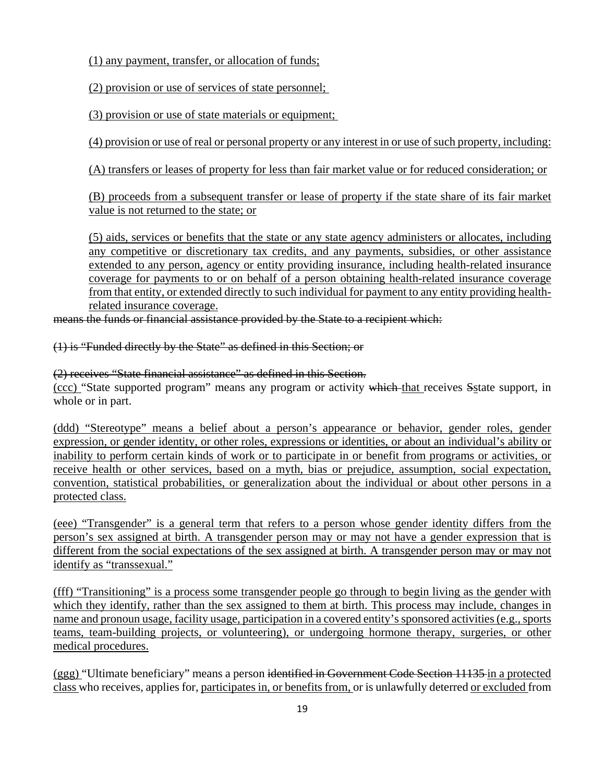(1) any payment, transfer, or allocation of funds;

(2) provision or use of services of state personnel;

(3) provision or use of state materials or equipment;

(4) provision or use of real or personal property or any interest in or use of such property, including:

(A) transfers or leases of property for less than fair market value or for reduced consideration; or

(B) proceeds from a subsequent transfer or lease of property if the state share of its fair market value is not returned to the state; or

(5) aids, services or benefits that the state or any state agency administers or allocates, including any competitive or discretionary tax credits, and any payments, subsidies, or other assistance extended to any person, agency or entity providing insurance, including health-related insurance coverage for payments to or on behalf of a person obtaining health-related insurance coverage from that entity, or extended directly to such individual for payment to any entity providing healthrelated insurance coverage.

means the funds or financial assistance provided by the State to a recipient which:

(1) is "Funded directly by the State" as defined in this Section; or

(2) receives "State financial assistance" as defined in this Section. (ccc) "State supported program" means any program or activity which that receives Sstate support, in whole or in part.

(ddd) "Stereotype" means a belief about a person's appearance or behavior, gender roles, gender expression, or gender identity, or other roles, expressions or identities, or about an individual's ability or inability to perform certain kinds of work or to participate in or benefit from programs or activities, or receive health or other services, based on a myth, bias or prejudice, assumption, social expectation, convention, statistical probabilities, or generalization about the individual or about other persons in a protected class.

(eee) "Transgender" is a general term that refers to a person whose gender identity differs from the person's sex assigned at birth. A transgender person may or may not have a gender expression that is different from the social expectations of the sex assigned at birth. A transgender person may or may not identify as "transsexual."

(fff) "Transitioning" is a process some transgender people go through to begin living as the gender with which they identify, rather than the sex assigned to them at birth. This process may include, changes in name and pronoun usage, facility usage, participation in a covered entity's sponsored activities (e.g., sports teams, team-building projects, or volunteering), or undergoing hormone therapy, surgeries, or other medical procedures.

(ggg) "Ultimate beneficiary" means a person identified in Government Code Section 11135 in a protected class who receives, applies for, participates in, or benefits from, or is unlawfully deterred or excluded from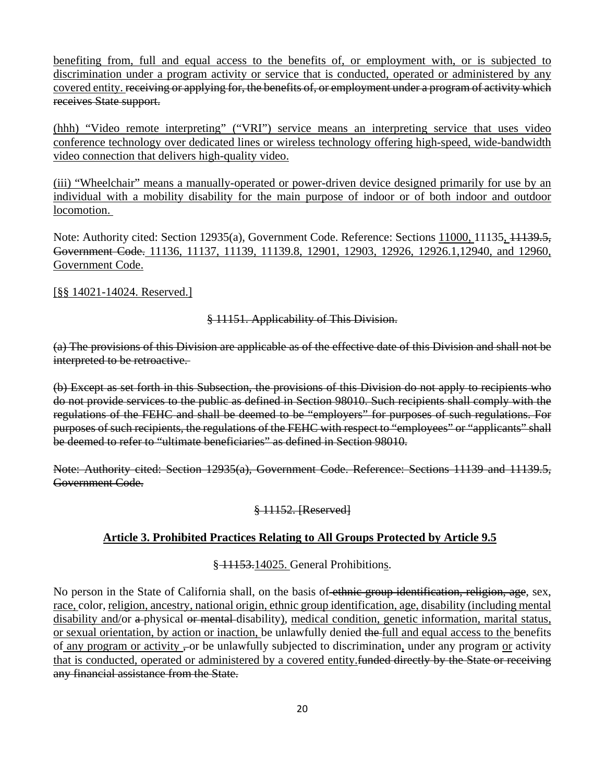benefiting from, full and equal access to the benefits of, or employment with, or is subjected to discrimination under a program activity or service that is conducted, operated or administered by any covered entity. receiving or applying for, the benefits of, or employment under a program of activity which receives State support.

(hhh) "Video remote interpreting" ("VRI") service means an interpreting service that uses video conference technology over dedicated lines or wireless technology offering high-speed, wide-bandwidth video connection that delivers high-quality video.

(iii) "Wheelchair" means a manually-operated or power-driven device designed primarily for use by an individual with a mobility disability for the main purpose of indoor or of both indoor and outdoor locomotion.

Note: Authority cited: Section 12935(a), Government Code. Reference: Sections 11000, 11135, 11139.5, Government Code. 11136, 11137, 11139, 11139.8, 12901, 12903, 12926, 12926.1, 12940, and 12960, Government Code.

#### [§§ 14021-14024. Reserved.]

#### § 11151. Applicability of This Division.

(a) The provisions of this Division are applicable as of the effective date of this Division and shall not be interpreted to be retroactive.

(b) Except as set forth in this Subsection, the provisions of this Division do not apply to recipients who do not provide services to the public as defined in Section 98010. Such recipients shall comply with the regulations of the FEHC and shall be deemed to be "employers" for purposes of such regulations. For purposes of such recipients, the regulations of the FEHC with respect to "employees" or "applicants" shall be deemed to refer to "ultimate beneficiaries" as defined in Section 98010.

Note: Authority cited: Section 12935(a), Government Code. Reference: Sections 11139 and 11139.5, Government Code.

#### § 11152. [Reserved]

#### **Article 3. Prohibited Practices Relating to All Groups Protected by Article 9.5**

#### § 11153.14025. General Prohibitions.

No person in the State of California shall, on the basis of ethnic group identification, religion, age, sex, race, color, religion, ancestry, national origin, ethnic group identification, age, disability (including mental disability and/or a physical or mental disability), medical condition, genetic information, marital status, or sexual orientation, by action or inaction, be unlawfully denied the full and equal access to the benefits of any program or activity , or be unlawfully subjected to discrimination, under any program or activity that is conducted, operated or administered by a covered entity.funded directly by the State or receiving any financial assistance from the State.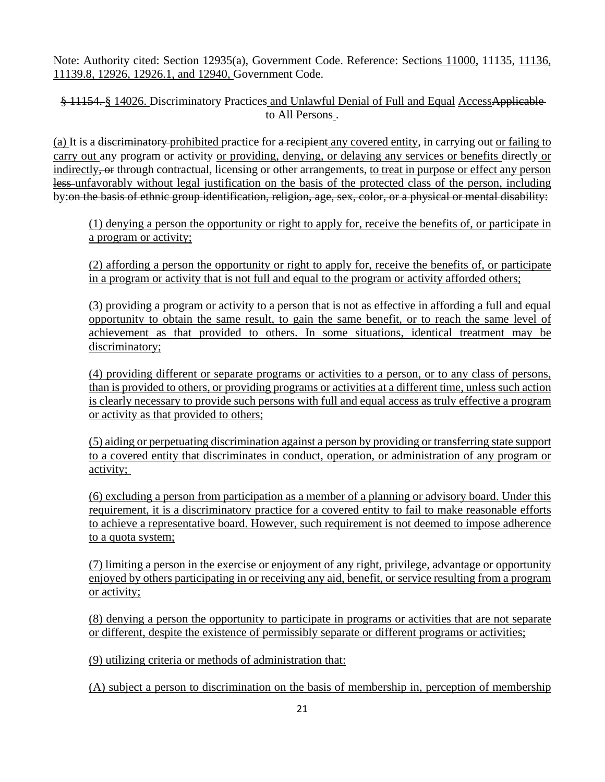Note: Authority cited: Section 12935(a), Government Code. Reference: Sections 11000, 11135, 11136, 11139.8, 12926, 12926.1, and 12940, Government Code.

§ 11154. § 14026. Discriminatory Practices and Unlawful Denial of Full and Equal AccessApplicable to All Persons.

(a) It is a discriminatory prohibited practice for a recipient any covered entity, in carrying out or failing to carry out any program or activity or providing, denying, or delaying any services or benefits directly or indirectly<del>, or</del> through contractual, licensing or other arrangements, to treat in purpose or effect any person less unfavorably without legal justification on the basis of the protected class of the person, including by:on the basis of ethnic group identification, religion, age, sex, color, or a physical or mental disability:

(1) denying a person the opportunity or right to apply for, receive the benefits of, or participate in a program or activity;

(2) affording a person the opportunity or right to apply for, receive the benefits of, or participate in a program or activity that is not full and equal to the program or activity afforded others;

(3) providing a program or activity to a person that is not as effective in affording a full and equal opportunity to obtain the same result, to gain the same benefit, or to reach the same level of achievement as that provided to others. In some situations, identical treatment may be discriminatory;

(4) providing different or separate programs or activities to a person, or to any class of persons, than is provided to others, or providing programs or activities at a different time, unless such action is clearly necessary to provide such persons with full and equal access as truly effective a program or activity as that provided to others;

(5) aiding or perpetuating discrimination against a person by providing or transferring state support to a covered entity that discriminates in conduct, operation, or administration of any program or activity;

(6) excluding a person from participation as a member of a planning or advisory board. Under this requirement, it is a discriminatory practice for a covered entity to fail to make reasonable efforts to achieve a representative board. However, such requirement is not deemed to impose adherence to a quota system;

(7) limiting a person in the exercise or enjoyment of any right, privilege, advantage or opportunity enjoyed by others participating in or receiving any aid, benefit, or service resulting from a program or activity;

(8) denying a person the opportunity to participate in programs or activities that are not separate or different, despite the existence of permissibly separate or different programs or activities;

(9) utilizing criteria or methods of administration that:

(A) subject a person to discrimination on the basis of membership in, perception of membership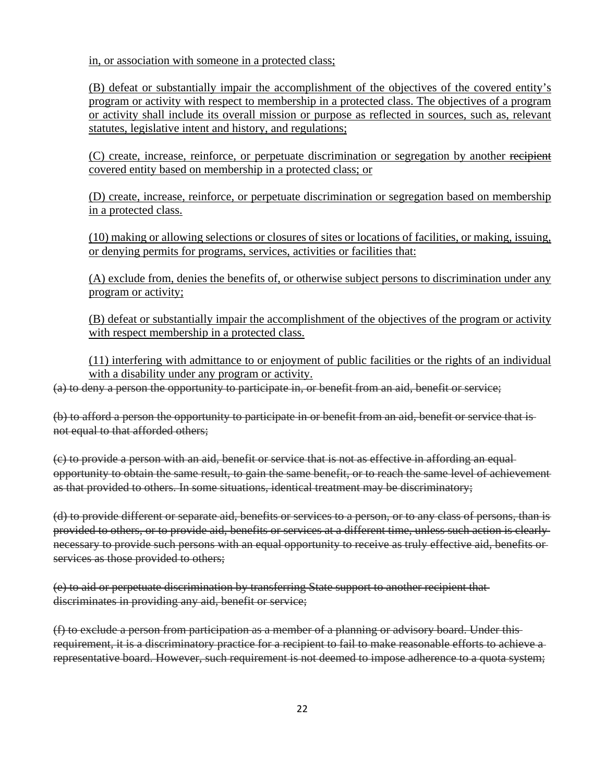in, or association with someone in a protected class;

(B) defeat or substantially impair the accomplishment of the objectives of the covered entity's program or activity with respect to membership in a protected class. The objectives of a program or activity shall include its overall mission or purpose as reflected in sources, such as, relevant statutes, legislative intent and history, and regulations;

(C) create, increase, reinforce, or perpetuate discrimination or segregation by another recipient covered entity based on membership in a protected class; or

(D) create, increase, reinforce, or perpetuate discrimination or segregation based on membership in a protected class.

(10) making or allowing selections or closures of sites or locations of facilities, or making, issuing, or denying permits for programs, services, activities or facilities that:

(A) exclude from, denies the benefits of, or otherwise subject persons to discrimination under any program or activity;

(B) defeat or substantially impair the accomplishment of the objectives of the program or activity with respect membership in a protected class.

(11) interfering with admittance to or enjoyment of public facilities or the rights of an individual with a disability under any program or activity.

(a) to deny a person the opportunity to participate in, or benefit from an aid, benefit or service;

(b) to afford a person the opportunity to participate in or benefit from an aid, benefit or service that is not equal to that afforded others;

(c) to provide a person with an aid, benefit or service that is not as effective in affording an equal opportunity to obtain the same result, to gain the same benefit, or to reach the same level of achievement as that provided to others. In some situations, identical treatment may be discriminatory;

(d) to provide different or separate aid, benefits or services to a person, or to any class of persons, than is provided to others, or to provide aid, benefits or services at a different time, unless such action is clearly necessary to provide such persons with an equal opportunity to receive as truly effective aid, benefits or services as those provided to others;

(e) to aid or perpetuate discrimination by transferring State support to another recipient that discriminates in providing any aid, benefit or service;

(f) to exclude a person from participation as a member of a planning or advisory board. Under this requirement, it is a discriminatory practice for a recipient to fail to make reasonable efforts to achieve a representative board. However, such requirement is not deemed to impose adherence to a quota system;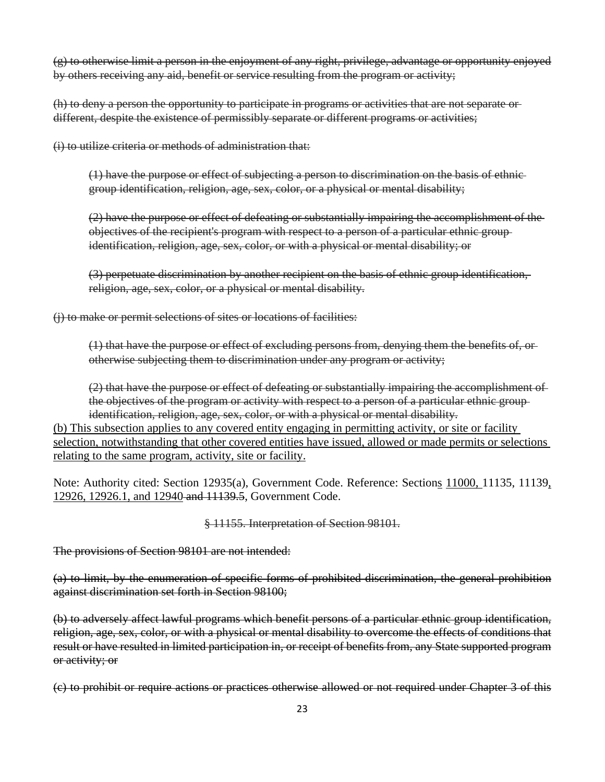(g) to otherwise limit a person in the enjoyment of any right, privilege, advantage or opportunity enjoyed by others receiving any aid, benefit or service resulting from the program or activity;

(h) to deny a person the opportunity to participate in programs or activities that are not separate or different, despite the existence of permissibly separate or different programs or activities;

(i) to utilize criteria or methods of administration that:

(1) have the purpose or effect of subjecting a person to discrimination on the basis of ethnic group identification, religion, age, sex, color, or a physical or mental disability;

(2) have the purpose or effect of defeating or substantially impairing the accomplishment of the objectives of the recipient's program with respect to a person of a particular ethnic group identification, religion, age, sex, color, or with a physical or mental disability; or

(3) perpetuate discrimination by another recipient on the basis of ethnic group identification, religion, age, sex, color, or a physical or mental disability.

(j) to make or permit selections of sites or locations of facilities:

(1) that have the purpose or effect of excluding persons from, denying them the benefits of, or otherwise subjecting them to discrimination under any program or activity;

(2) that have the purpose or effect of defeating or substantially impairing the accomplishment of the objectives of the program or activity with respect to a person of a particular ethnic group identification, religion, age, sex, color, or with a physical or mental disability. (b) This subsection applies to any covered entity engaging in permitting activity, or site or facility selection, notwithstanding that other covered entities have issued, allowed or made permits or selections relating to the same program, activity, site or facility.

Note: Authority cited: Section 12935(a), Government Code. Reference: Sections 11000, 11135, 11139, 12926, 12926.1, and 12940 and 11139.5, Government Code.

§ 11155. Interpretation of Section 98101.

The provisions of Section 98101 are not intended:

(a) to limit, by the enumeration of specific forms of prohibited discrimination, the general prohibition against discrimination set forth in Section 98100;

(b) to adversely affect lawful programs which benefit persons of a particular ethnic group identification, religion, age, sex, color, or with a physical or mental disability to overcome the effects of conditions that result or have resulted in limited participation in, or receipt of benefits from, any State supported program or activity; or

(c) to prohibit or require actions or practices otherwise allowed or not required under Chapter 3 of this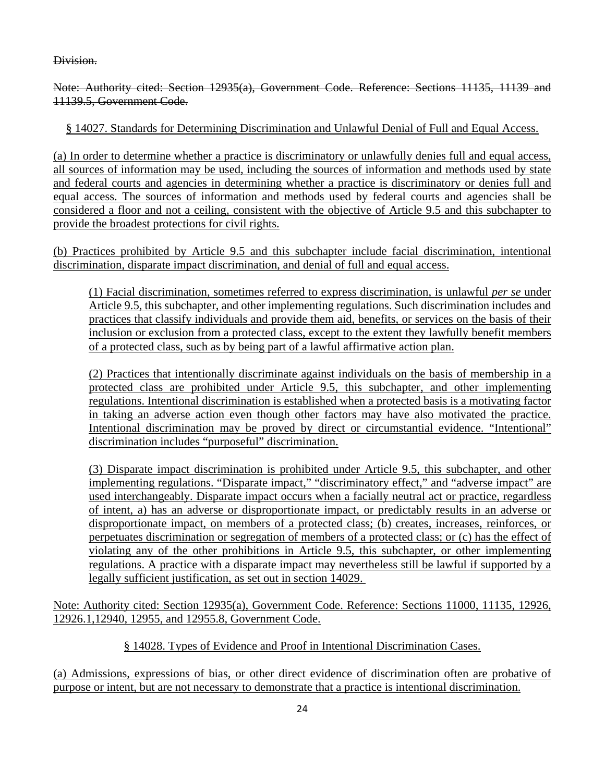#### Division.

Note: Authority cited: Section 12935(a), Government Code. Reference: Sections 11135, 11139 and 11139.5, Government Code.

### § 14027. Standards for Determining Discrimination and Unlawful Denial of Full and Equal Access.

(a) In order to determine whether a practice is discriminatory or unlawfully denies full and equal access, all sources of information may be used, including the sources of information and methods used by state and federal courts and agencies in determining whether a practice is discriminatory or denies full and equal access. The sources of information and methods used by federal courts and agencies shall be considered a floor and not a ceiling, consistent with the objective of Article 9.5 and this subchapter to provide the broadest protections for civil rights.

(b) Practices prohibited by Article 9.5 and this subchapter include facial discrimination, intentional discrimination, disparate impact discrimination, and denial of full and equal access.

(1) Facial discrimination, sometimes referred to express discrimination, is unlawful *per se* under Article 9.5, this subchapter, and other implementing regulations. Such discrimination includes and practices that classify individuals and provide them aid, benefits, or services on the basis of their inclusion or exclusion from a protected class, except to the extent they lawfully benefit members of a protected class, such as by being part of a lawful affirmative action plan.

(2) Practices that intentionally discriminate against individuals on the basis of membership in a protected class are prohibited under Article 9.5, this subchapter, and other implementing regulations. Intentional discrimination is established when a protected basis is a motivating factor in taking an adverse action even though other factors may have also motivated the practice. Intentional discrimination may be proved by direct or circumstantial evidence. "Intentional" discrimination includes "purposeful" discrimination.

(3) Disparate impact discrimination is prohibited under Article 9.5, this subchapter, and other implementing regulations. "Disparate impact," "discriminatory effect," and "adverse impact" are used interchangeably. Disparate impact occurs when a facially neutral act or practice, regardless of intent, a) has an adverse or disproportionate impact, or predictably results in an adverse or disproportionate impact, on members of a protected class; (b) creates, increases, reinforces, or perpetuates discrimination or segregation of members of a protected class; or (c) has the effect of violating any of the other prohibitions in Article 9.5, this subchapter, or other implementing regulations. A practice with a disparate impact may nevertheless still be lawful if supported by a legally sufficient justification, as set out in section 14029.

Note: Authority cited: Section 12935(a), Government Code. Reference: Sections 11000, 11135, 12926, 12926.1,12940, 12955, and 12955.8, Government Code.

§ 14028. Types of Evidence and Proof in Intentional Discrimination Cases.

(a) Admissions, expressions of bias, or other direct evidence of discrimination often are probative of purpose or intent, but are not necessary to demonstrate that a practice is intentional discrimination.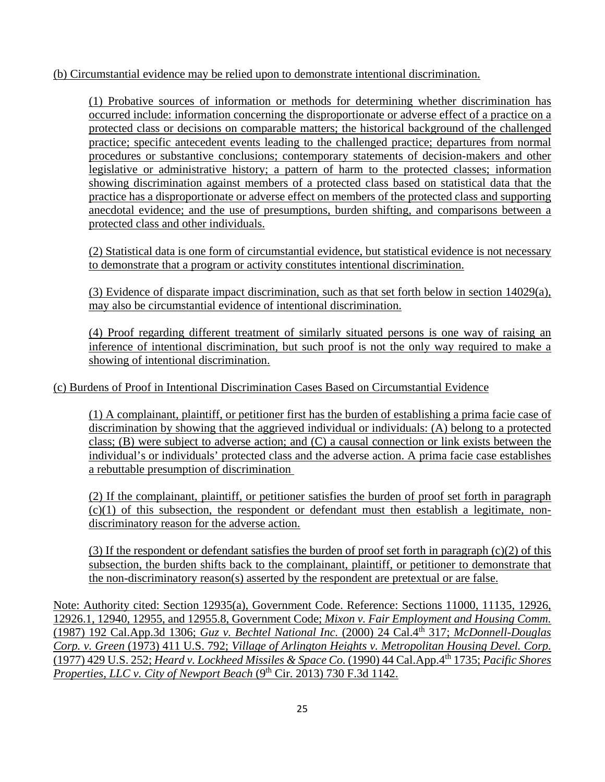#### (b) Circumstantial evidence may be relied upon to demonstrate intentional discrimination.

(1) Probative sources of information or methods for determining whether discrimination has occurred include: information concerning the disproportionate or adverse effect of a practice on a protected class or decisions on comparable matters; the historical background of the challenged practice; specific antecedent events leading to the challenged practice; departures from normal procedures or substantive conclusions; contemporary statements of decision-makers and other legislative or administrative history; a pattern of harm to the protected classes; information showing discrimination against members of a protected class based on statistical data that the practice has a disproportionate or adverse effect on members of the protected class and supporting anecdotal evidence; and the use of presumptions, burden shifting, and comparisons between a protected class and other individuals.

(2) Statistical data is one form of circumstantial evidence, but statistical evidence is not necessary to demonstrate that a program or activity constitutes intentional discrimination.

(3) Evidence of disparate impact discrimination, such as that set forth below in section 14029(a), may also be circumstantial evidence of intentional discrimination.

(4) Proof regarding different treatment of similarly situated persons is one way of raising an inference of intentional discrimination, but such proof is not the only way required to make a showing of intentional discrimination.

(c) Burdens of Proof in Intentional Discrimination Cases Based on Circumstantial Evidence

(1) A complainant, plaintiff, or petitioner first has the burden of establishing a prima facie case of discrimination by showing that the aggrieved individual or individuals: (A) belong to a protected class; (B) were subject to adverse action; and (C) a causal connection or link exists between the individual's or individuals' protected class and the adverse action. A prima facie case establishes a rebuttable presumption of discrimination

(2) If the complainant, plaintiff, or petitioner satisfies the burden of proof set forth in paragraph  $(c)(1)$  of this subsection, the respondent or defendant must then establish a legitimate, nondiscriminatory reason for the adverse action.

(3) If the respondent or defendant satisfies the burden of proof set forth in paragraph (c)(2) of this subsection, the burden shifts back to the complainant, plaintiff, or petitioner to demonstrate that the non-discriminatory reason(s) asserted by the respondent are pretextual or are false.

Note: Authority cited: Section 12935(a), Government Code. Reference: Sections 11000, 11135, 12926, 12926.1, 12940, 12955, and 12955.8, Government Code; *Mixon v. Fair Employment and Housing Comm.*  (1987) 192 Cal.App.3d 1306; *Guz v. Bechtel National Inc.* (2000) 24 Cal.4th 317; *McDonnell-Douglas Corp. v. Green* (1973) 411 U.S. 792; *Village of Arlington Heights v. Metropolitan Housing Devel. Corp.*  (1977) 429 U.S. 252; *Heard v. Lockheed Missiles & Space Co.* (1990) 44 Cal.App.4th 1735; *Pacific Shores Properties, LLC v. City of Newport Beach* (9<sup>th</sup> Cir. 2013) 730 F.3d 1142.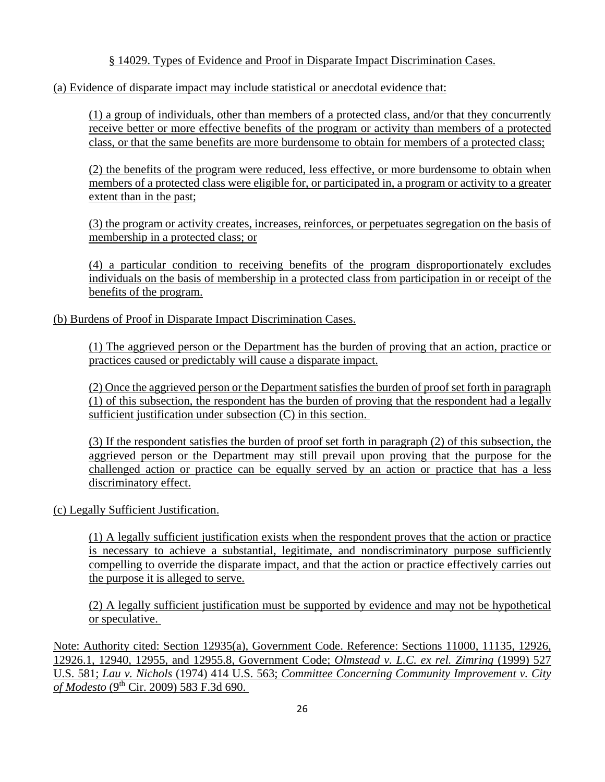§ 14029. Types of Evidence and Proof in Disparate Impact Discrimination Cases.

(a) Evidence of disparate impact may include statistical or anecdotal evidence that:

(1) a group of individuals, other than members of a protected class, and/or that they concurrently receive better or more effective benefits of the program or activity than members of a protected class, or that the same benefits are more burdensome to obtain for members of a protected class;

(2) the benefits of the program were reduced, less effective, or more burdensome to obtain when members of a protected class were eligible for, or participated in, a program or activity to a greater extent than in the past;

(3) the program or activity creates, increases, reinforces, or perpetuates segregation on the basis of membership in a protected class; or

(4) a particular condition to receiving benefits of the program disproportionately excludes individuals on the basis of membership in a protected class from participation in or receipt of the benefits of the program.

(b) Burdens of Proof in Disparate Impact Discrimination Cases.

(1) The aggrieved person or the Department has the burden of proving that an action, practice or practices caused or predictably will cause a disparate impact.

(2) Once the aggrieved person or the Department satisfies the burden of proof set forth in paragraph (1) of this subsection, the respondent has the burden of proving that the respondent had a legally sufficient justification under subsection (C) in this section.

(3) If the respondent satisfies the burden of proof set forth in paragraph (2) of this subsection, the aggrieved person or the Department may still prevail upon proving that the purpose for the challenged action or practice can be equally served by an action or practice that has a less discriminatory effect.

(c) Legally Sufficient Justification.

(1) A legally sufficient justification exists when the respondent proves that the action or practice is necessary to achieve a substantial, legitimate, and nondiscriminatory purpose sufficiently compelling to override the disparate impact, and that the action or practice effectively carries out the purpose it is alleged to serve.

(2) A legally sufficient justification must be supported by evidence and may not be hypothetical or speculative.

Note: Authority cited: Section 12935(a), Government Code. Reference: Sections 11000, 11135, 12926, 12926.1, 12940, 12955, and 12955.8, Government Code; *Olmstead v. L.C. ex rel. Zimring* (1999) 527 U.S. 581; *Lau v. Nichols* (1974) 414 U.S. 563; *Committee Concerning Community Improvement v. City of Modesto* (9th Cir. 2009) 583 F.3d 690.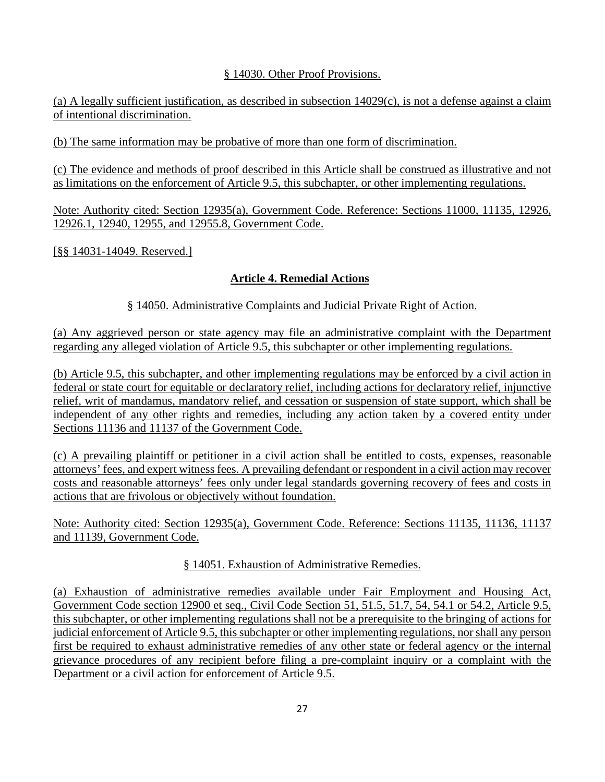#### § 14030. Other Proof Provisions.

(a) A legally sufficient justification, as described in subsection 14029(c), is not a defense against a claim of intentional discrimination.

(b) The same information may be probative of more than one form of discrimination.

(c) The evidence and methods of proof described in this Article shall be construed as illustrative and not as limitations on the enforcement of Article 9.5, this subchapter, or other implementing regulations.

Note: Authority cited: Section 12935(a), Government Code. Reference: Sections 11000, 11135, 12926, 12926.1, 12940, 12955, and 12955.8, Government Code.

[§§ 14031-14049. Reserved.]

#### **Article 4. Remedial Actions**

§ 14050. Administrative Complaints and Judicial Private Right of Action.

(a) Any aggrieved person or state agency may file an administrative complaint with the Department regarding any alleged violation of Article 9.5, this subchapter or other implementing regulations.

(b) Article 9.5, this subchapter, and other implementing regulations may be enforced by a civil action in federal or state court for equitable or declaratory relief, including actions for declaratory relief, injunctive relief, writ of mandamus, mandatory relief, and cessation or suspension of state support, which shall be independent of any other rights and remedies, including any action taken by a covered entity under Sections 11136 and 11137 of the Government Code.

(c) A prevailing plaintiff or petitioner in a civil action shall be entitled to costs, expenses, reasonable attorneys' fees, and expert witness fees. A prevailing defendant or respondent in a civil action may recover costs and reasonable attorneys' fees only under legal standards governing recovery of fees and costs in actions that are frivolous or objectively without foundation.

Note: Authority cited: Section 12935(a), Government Code. Reference: Sections 11135, 11136, 11137 and 11139, Government Code.

§ 14051. Exhaustion of Administrative Remedies.

(a) Exhaustion of administrative remedies available under Fair Employment and Housing Act, Government Code section 12900 et seq., Civil Code Section 51, 51.5, 51.7, 54, 54.1 or 54.2, Article 9.5, this subchapter, or other implementing regulations shall not be a prerequisite to the bringing of actions for judicial enforcement of Article 9.5, this subchapter or other implementing regulations, nor shall any person first be required to exhaust administrative remedies of any other state or federal agency or the internal grievance procedures of any recipient before filing a pre-complaint inquiry or a complaint with the Department or a civil action for enforcement of Article 9.5.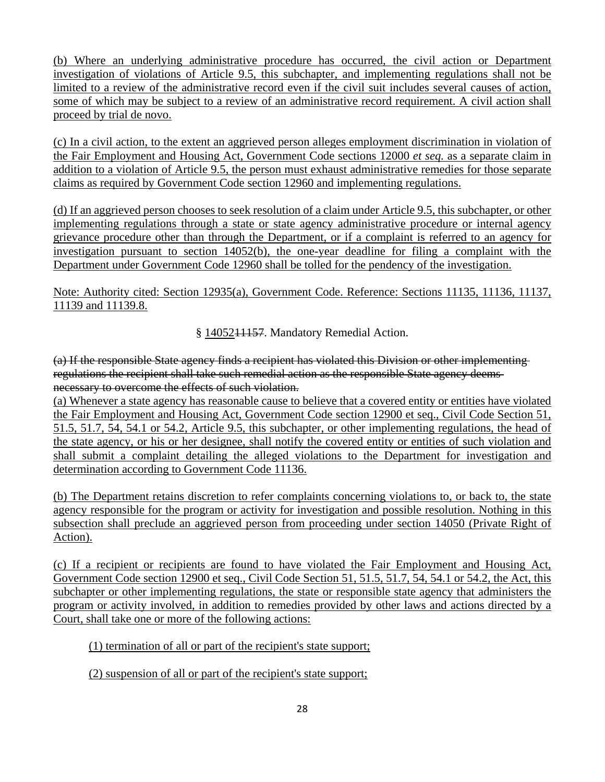(b) Where an underlying administrative procedure has occurred, the civil action or Department investigation of violations of Article 9.5, this subchapter, and implementing regulations shall not be limited to a review of the administrative record even if the civil suit includes several causes of action, some of which may be subject to a review of an administrative record requirement. A civil action shall proceed by trial de novo.

(c) In a civil action, to the extent an aggrieved person alleges employment discrimination in violation of the Fair Employment and Housing Act, Government Code sections 12000 *et seq.* as a separate claim in addition to a violation of Article 9.5, the person must exhaust administrative remedies for those separate claims as required by Government Code section 12960 and implementing regulations.

(d) If an aggrieved person chooses to seek resolution of a claim under Article 9.5, this subchapter, or other implementing regulations through a state or state agency administrative procedure or internal agency grievance procedure other than through the Department, or if a complaint is referred to an agency for investigation pursuant to section 14052(b), the one-year deadline for filing a complaint with the Department under Government Code 12960 shall be tolled for the pendency of the investigation.

Note: Authority cited: Section 12935(a), Government Code. Reference: Sections 11135, 11136, 11137, 11139 and 11139.8.

§ 1405211157. Mandatory Remedial Action.

(a) If the responsible State agency finds a recipient has violated this Division or other implementing regulations the recipient shall take such remedial action as the responsible State agency deems necessary to overcome the effects of such violation.

(a) Whenever a state agency has reasonable cause to believe that a covered entity or entities have violated the Fair Employment and Housing Act, Government Code section 12900 et seq., Civil Code Section 51, 51.5, 51.7, 54, 54.1 or 54.2, Article 9.5, this subchapter, or other implementing regulations, the head of the state agency, or his or her designee, shall notify the covered entity or entities of such violation and shall submit a complaint detailing the alleged violations to the Department for investigation and determination according to Government Code 11136.

(b) The Department retains discretion to refer complaints concerning violations to, or back to, the state agency responsible for the program or activity for investigation and possible resolution. Nothing in this subsection shall preclude an aggrieved person from proceeding under section 14050 (Private Right of Action).

(c) If a recipient or recipients are found to have violated the Fair Employment and Housing Act, Government Code section 12900 et seq., Civil Code Section 51, 51.5, 51.7, 54, 54.1 or 54.2, the Act, this subchapter or other implementing regulations, the state or responsible state agency that administers the program or activity involved, in addition to remedies provided by other laws and actions directed by a Court, shall take one or more of the following actions:

(1) termination of all or part of the recipient's state support;

(2) suspension of all or part of the recipient's state support;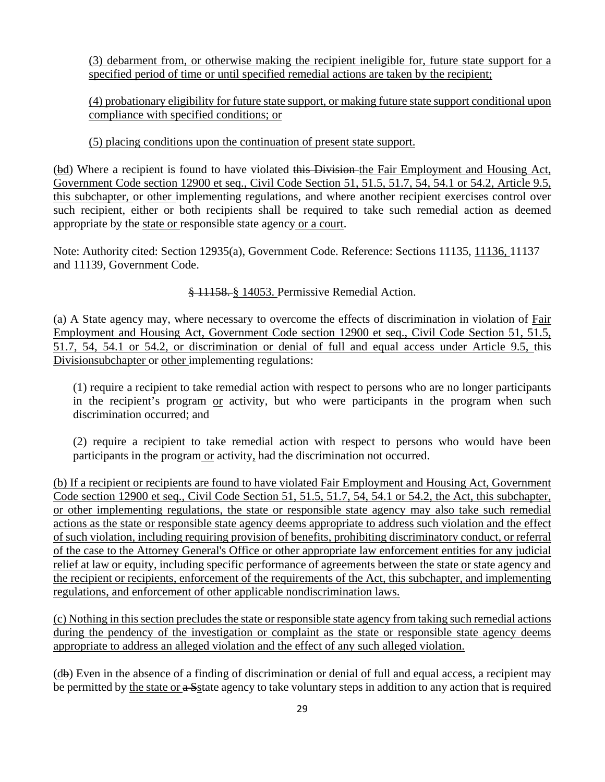(3) debarment from, or otherwise making the recipient ineligible for, future state support for a specified period of time or until specified remedial actions are taken by the recipient;

(4) probationary eligibility for future state support, or making future state support conditional upon compliance with specified conditions; or

#### (5) placing conditions upon the continuation of present state support.

(bd) Where a recipient is found to have violated this Division the Fair Employment and Housing Act, Government Code section 12900 et seq., Civil Code Section 51, 51.5, 51.7, 54, 54.1 or 54.2, Article 9.5, this subchapter, or other implementing regulations, and where another recipient exercises control over such recipient, either or both recipients shall be required to take such remedial action as deemed appropriate by the state or responsible state agency or a court.

Note: Authority cited: Section 12935(a), Government Code. Reference: Sections 11135, 11136, 11137 and 11139, Government Code.

§ 11158. § 14053. Permissive Remedial Action.

(a) A State agency may, where necessary to overcome the effects of discrimination in violation of Fair Employment and Housing Act, Government Code section 12900 et seq., Civil Code Section 51, 51.5, 51.7, 54, 54.1 or 54.2, or discrimination or denial of full and equal access under Article 9.5, this Divisionsubchapter or other implementing regulations:

(1) require a recipient to take remedial action with respect to persons who are no longer participants in the recipient's program or activity, but who were participants in the program when such discrimination occurred; and

(2) require a recipient to take remedial action with respect to persons who would have been participants in the program or activity, had the discrimination not occurred.

(b) If a recipient or recipients are found to have violated Fair Employment and Housing Act, Government Code section 12900 et seq., Civil Code Section 51, 51.5, 51.7, 54, 54.1 or 54.2, the Act, this subchapter, or other implementing regulations, the state or responsible state agency may also take such remedial actions as the state or responsible state agency deems appropriate to address such violation and the effect of such violation, including requiring provision of benefits, prohibiting discriminatory conduct, or referral of the case to the Attorney General's Office or other appropriate law enforcement entities for any judicial relief at law or equity, including specific performance of agreements between the state or state agency and the recipient or recipients, enforcement of the requirements of the Act, this subchapter, and implementing regulations, and enforcement of other applicable nondiscrimination laws.

(c) Nothing in this section precludes the state or responsible state agency from taking such remedial actions during the pendency of the investigation or complaint as the state or responsible state agency deems appropriate to address an alleged violation and the effect of any such alleged violation.

(db) Even in the absence of a finding of discrimination or denial of full and equal access, a recipient may be permitted by the state or a Setate agency to take voluntary steps in addition to any action that is required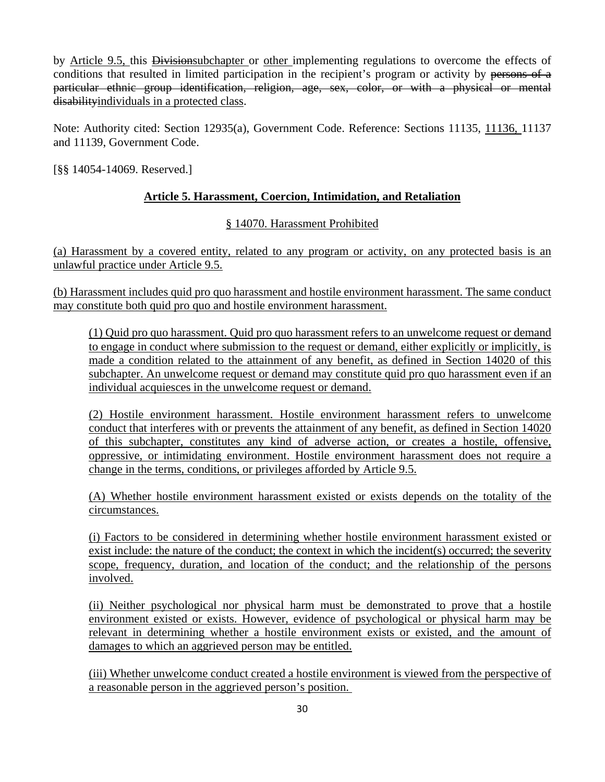by Article 9.5, this Divisionsubchapter or other implementing regulations to overcome the effects of conditions that resulted in limited participation in the recipient's program or activity by persons of a particular ethnic group identification, religion, age, sex, color, or with a physical or mental disabilityindividuals in a protected class.

Note: Authority cited: Section 12935(a), Government Code. Reference: Sections 11135, 11136, 11137 and 11139, Government Code.

[§§ 14054-14069. Reserved.]

#### **Article 5. Harassment, Coercion, Intimidation, and Retaliation**

#### § 14070. Harassment Prohibited

(a) Harassment by a covered entity, related to any program or activity, on any protected basis is an unlawful practice under Article 9.5.

(b) Harassment includes quid pro quo harassment and hostile environment harassment. The same conduct may constitute both quid pro quo and hostile environment harassment.

(1) Quid pro quo harassment. Quid pro quo harassment refers to an unwelcome request or demand to engage in conduct where submission to the request or demand, either explicitly or implicitly, is made a condition related to the attainment of any benefit, as defined in Section 14020 of this subchapter. An unwelcome request or demand may constitute quid pro quo harassment even if an individual acquiesces in the unwelcome request or demand.

(2) Hostile environment harassment. Hostile environment harassment refers to unwelcome conduct that interferes with or prevents the attainment of any benefit, as defined in Section 14020 of this subchapter, constitutes any kind of adverse action, or creates a hostile, offensive, oppressive, or intimidating environment. Hostile environment harassment does not require a change in the terms, conditions, or privileges afforded by Article 9.5.

(A) Whether hostile environment harassment existed or exists depends on the totality of the circumstances.

(i) Factors to be considered in determining whether hostile environment harassment existed or exist include: the nature of the conduct; the context in which the incident(s) occurred; the severity scope, frequency, duration, and location of the conduct; and the relationship of the persons involved.

(ii) Neither psychological nor physical harm must be demonstrated to prove that a hostile environment existed or exists. However, evidence of psychological or physical harm may be relevant in determining whether a hostile environment exists or existed, and the amount of damages to which an aggrieved person may be entitled.

(iii) Whether unwelcome conduct created a hostile environment is viewed from the perspective of a reasonable person in the aggrieved person's position.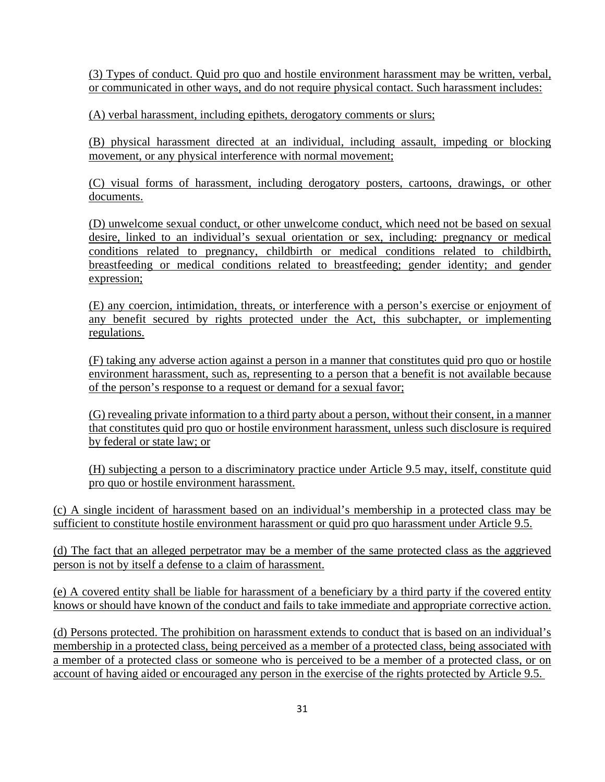(3) Types of conduct. Quid pro quo and hostile environment harassment may be written, verbal, or communicated in other ways, and do not require physical contact. Such harassment includes:

(A) verbal harassment, including epithets, derogatory comments or slurs;

(B) physical harassment directed at an individual, including assault, impeding or blocking movement, or any physical interference with normal movement;

(C) visual forms of harassment, including derogatory posters, cartoons, drawings, or other documents.

(D) unwelcome sexual conduct, or other unwelcome conduct, which need not be based on sexual desire, linked to an individual's sexual orientation or sex, including: pregnancy or medical conditions related to pregnancy, childbirth or medical conditions related to childbirth, breastfeeding or medical conditions related to breastfeeding; gender identity; and gender expression;

(E) any coercion, intimidation, threats, or interference with a person's exercise or enjoyment of any benefit secured by rights protected under the Act, this subchapter, or implementing regulations.

(F) taking any adverse action against a person in a manner that constitutes quid pro quo or hostile environment harassment, such as, representing to a person that a benefit is not available because of the person's response to a request or demand for a sexual favor;

(G) revealing private information to a third party about a person, without their consent, in a manner that constitutes quid pro quo or hostile environment harassment, unless such disclosure is required by federal or state law; or

(H) subjecting a person to a discriminatory practice under Article 9.5 may, itself, constitute quid pro quo or hostile environment harassment.

(c) A single incident of harassment based on an individual's membership in a protected class may be sufficient to constitute hostile environment harassment or quid pro quo harassment under Article 9.5.

(d) The fact that an alleged perpetrator may be a member of the same protected class as the aggrieved person is not by itself a defense to a claim of harassment.

(e) A covered entity shall be liable for harassment of a beneficiary by a third party if the covered entity knows or should have known of the conduct and fails to take immediate and appropriate corrective action.

(d) Persons protected. The prohibition on harassment extends to conduct that is based on an individual's membership in a protected class, being perceived as a member of a protected class, being associated with a member of a protected class or someone who is perceived to be a member of a protected class, or on account of having aided or encouraged any person in the exercise of the rights protected by Article 9.5.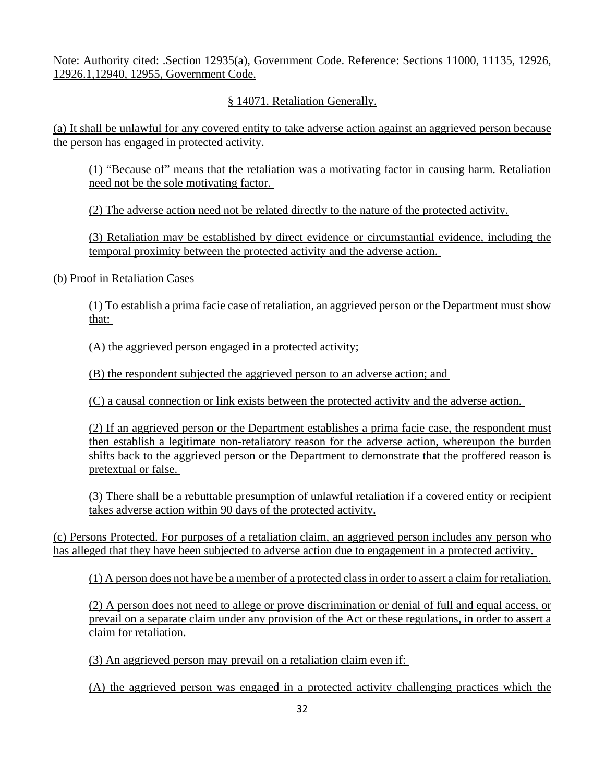Note: Authority cited: .Section 12935(a), Government Code. Reference: Sections 11000, 11135, 12926, 12926.1,12940, 12955, Government Code.

§ 14071. Retaliation Generally.

(a) It shall be unlawful for any covered entity to take adverse action against an aggrieved person because the person has engaged in protected activity.

(1) "Because of" means that the retaliation was a motivating factor in causing harm. Retaliation need not be the sole motivating factor.

(2) The adverse action need not be related directly to the nature of the protected activity.

(3) Retaliation may be established by direct evidence or circumstantial evidence, including the temporal proximity between the protected activity and the adverse action.

(b) Proof in Retaliation Cases

(1) To establish a prima facie case of retaliation, an aggrieved person or the Department must show that:

(A) the aggrieved person engaged in a protected activity;

(B) the respondent subjected the aggrieved person to an adverse action; and

(C) a causal connection or link exists between the protected activity and the adverse action.

(2) If an aggrieved person or the Department establishes a prima facie case, the respondent must then establish a legitimate non-retaliatory reason for the adverse action, whereupon the burden shifts back to the aggrieved person or the Department to demonstrate that the proffered reason is pretextual or false.

(3) There shall be a rebuttable presumption of unlawful retaliation if a covered entity or recipient takes adverse action within 90 days of the protected activity.

(c) Persons Protected. For purposes of a retaliation claim, an aggrieved person includes any person who has alleged that they have been subjected to adverse action due to engagement in a protected activity.

(1) A person does not have be a member of a protected class in order to assert a claim for retaliation.

(2) A person does not need to allege or prove discrimination or denial of full and equal access, or prevail on a separate claim under any provision of the Act or these regulations, in order to assert a claim for retaliation.

(3) An aggrieved person may prevail on a retaliation claim even if:

(A) the aggrieved person was engaged in a protected activity challenging practices which the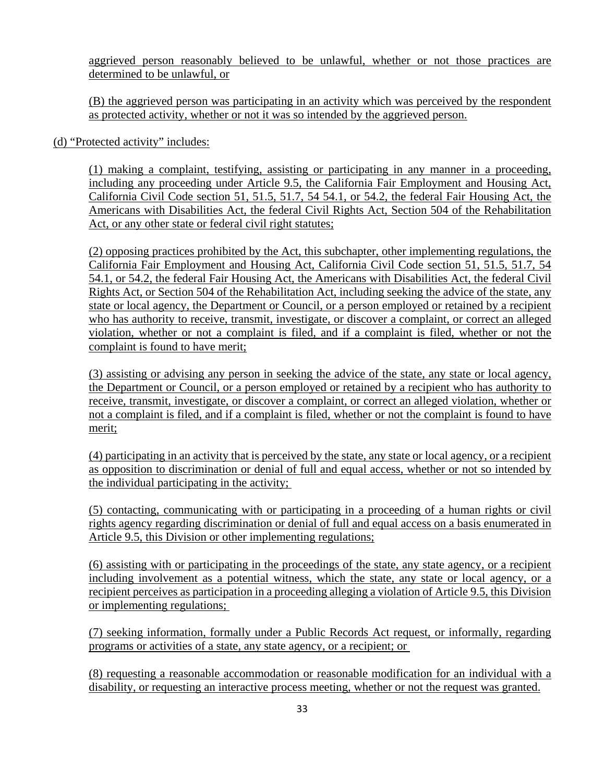aggrieved person reasonably believed to be unlawful, whether or not those practices are determined to be unlawful, or

(B) the aggrieved person was participating in an activity which was perceived by the respondent as protected activity, whether or not it was so intended by the aggrieved person.

(d) "Protected activity" includes:

(1) making a complaint, testifying, assisting or participating in any manner in a proceeding, including any proceeding under Article 9.5, the California Fair Employment and Housing Act, California Civil Code section 51, 51.5, 51.7, 54 54.1, or 54.2, the federal Fair Housing Act, the Americans with Disabilities Act, the federal Civil Rights Act, Section 504 of the Rehabilitation Act, or any other state or federal civil right statutes;

(2) opposing practices prohibited by the Act, this subchapter, other implementing regulations, the California Fair Employment and Housing Act, California Civil Code section 51, 51.5, 51.7, 54 54.1, or 54.2, the federal Fair Housing Act, the Americans with Disabilities Act, the federal Civil Rights Act, or Section 504 of the Rehabilitation Act, including seeking the advice of the state, any state or local agency, the Department or Council, or a person employed or retained by a recipient who has authority to receive, transmit, investigate, or discover a complaint, or correct an alleged violation, whether or not a complaint is filed, and if a complaint is filed, whether or not the complaint is found to have merit;

(3) assisting or advising any person in seeking the advice of the state, any state or local agency, the Department or Council, or a person employed or retained by a recipient who has authority to receive, transmit, investigate, or discover a complaint, or correct an alleged violation, whether or not a complaint is filed, and if a complaint is filed, whether or not the complaint is found to have merit;

(4) participating in an activity that is perceived by the state, any state or local agency, or a recipient as opposition to discrimination or denial of full and equal access, whether or not so intended by the individual participating in the activity;

(5) contacting, communicating with or participating in a proceeding of a human rights or civil rights agency regarding discrimination or denial of full and equal access on a basis enumerated in Article 9.5, this Division or other implementing regulations;

(6) assisting with or participating in the proceedings of the state, any state agency, or a recipient including involvement as a potential witness, which the state, any state or local agency, or a recipient perceives as participation in a proceeding alleging a violation of Article 9.5, this Division or implementing regulations;

(7) seeking information, formally under a Public Records Act request, or informally, regarding programs or activities of a state, any state agency, or a recipient; or

(8) requesting a reasonable accommodation or reasonable modification for an individual with a disability, or requesting an interactive process meeting, whether or not the request was granted.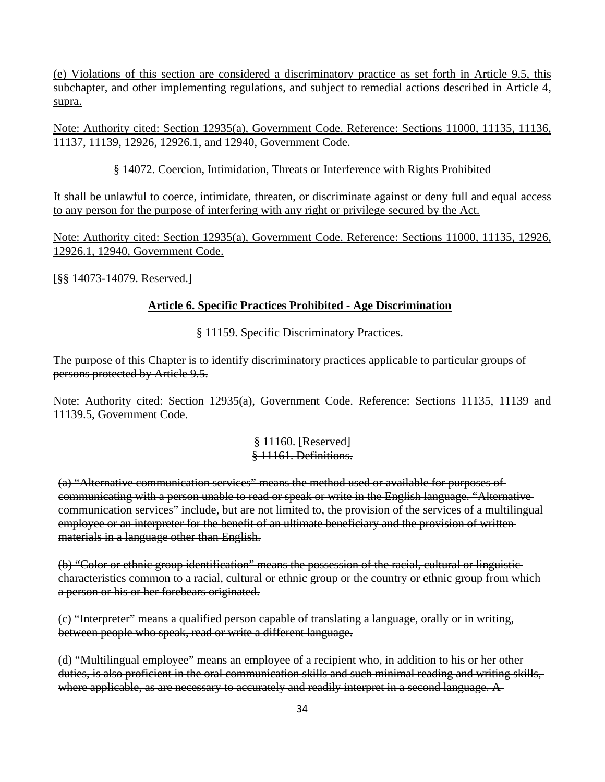(e) Violations of this section are considered a discriminatory practice as set forth in Article 9.5, this subchapter, and other implementing regulations, and subject to remedial actions described in Article 4, supra.

Note: Authority cited: Section 12935(a), Government Code. Reference: Sections 11000, 11135, 11136, 11137, 11139, 12926, 12926.1, and 12940, Government Code.

§ 14072. Coercion, Intimidation, Threats or Interference with Rights Prohibited

It shall be unlawful to coerce, intimidate, threaten, or discriminate against or deny full and equal access to any person for the purpose of interfering with any right or privilege secured by the Act.

Note: Authority cited: Section 12935(a), Government Code. Reference: Sections 11000, 11135, 12926, 12926.1, 12940, Government Code.

[§§ 14073-14079. Reserved.]

#### **Article 6. Specific Practices Prohibited - Age Discrimination**

§ 11159. Specific Discriminatory Practices.

The purpose of this Chapter is to identify discriminatory practices applicable to particular groups of persons protected by Article 9.5.

Note: Authority cited: Section 12935(a), Government Code. Reference: Sections 11135, 11139 and 11139.5, Government Code.

#### § 11160. [Reserved] § 11161. Definitions.

(a) "Alternative communication services" means the method used or available for purposes of communicating with a person unable to read or speak or write in the English language. "Alternative communication services" include, but are not limited to, the provision of the services of a multilingual employee or an interpreter for the benefit of an ultimate beneficiary and the provision of written materials in a language other than English.

(b) "Color or ethnic group identification" means the possession of the racial, cultural or linguistic characteristics common to a racial, cultural or ethnic group or the country or ethnic group from which a person or his or her forebears originated.

(c) "Interpreter" means a qualified person capable of translating a language, orally or in writing, between people who speak, read or write a different language.

(d) "Multilingual employee" means an employee of a recipient who, in addition to his or her other duties, is also proficient in the oral communication skills and such minimal reading and writing skills, where applicable, as are necessary to accurately and readily interpret in a second language. A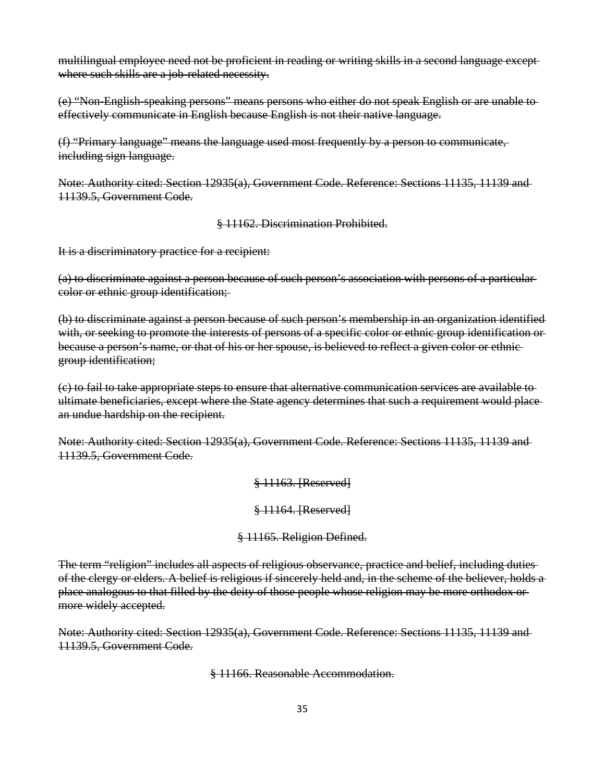multilingual employee need not be proficient in reading or writing skills in a second language except where such skills are a job-related necessity.

(e) "Non-English-speaking persons" means persons who either do not speak English or are unable to effectively communicate in English because English is not their native language.

(f) "Primary language" means the language used most frequently by a person to communicate, including sign language.

Note: Authority cited: Section 12935(a), Government Code. Reference: Sections 11135, 11139 and 11139.5, Government Code.

§ 11162. Discrimination Prohibited.

It is a discriminatory practice for a recipient:

(a) to discriminate against a person because of such person's association with persons of a particular color or ethnic group identification;

(b) to discriminate against a person because of such person's membership in an organization identified with, or seeking to promote the interests of persons of a specific color or ethnic group identification or because a person's name, or that of his or her spouse, is believed to reflect a given color or ethnic group identification;

(c) to fail to take appropriate steps to ensure that alternative communication services are available to ultimate beneficiaries, except where the State agency determines that such a requirement would place an undue hardship on the recipient.

Note: Authority cited: Section 12935(a), Government Code. Reference: Sections 11135, 11139 and 11139.5, Government Code.

> § 11163. [Reserved] § 11164. [Reserved] § 11165. Religion Defined.

The term "religion" includes all aspects of religious observance, practice and belief, including duties of the clergy or elders. A belief is religious if sincerely held and, in the scheme of the believer, holds a place analogous to that filled by the deity of those people whose religion may be more orthodox or more widely accepted.

Note: Authority cited: Section 12935(a), Government Code. Reference: Sections 11135, 11139 and 11139.5, Government Code.

§ 11166. Reasonable Accommodation.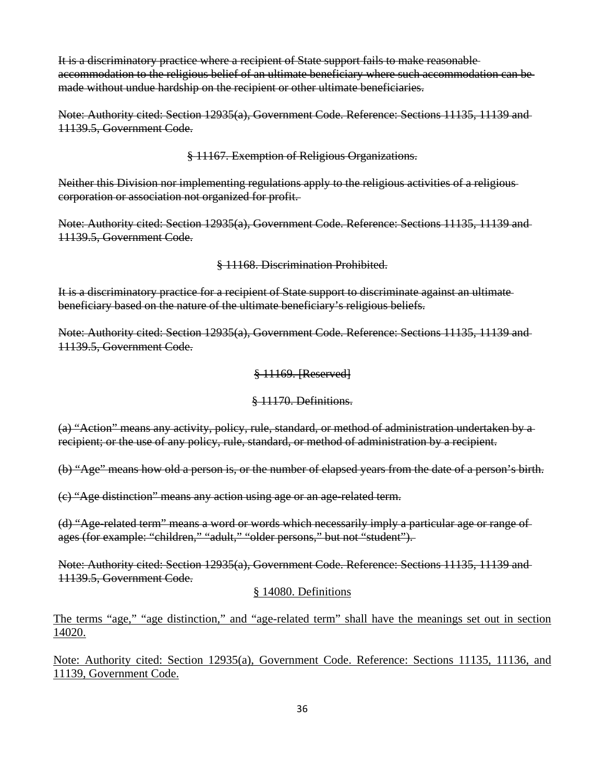It is a discriminatory practice where a recipient of State support fails to make reasonable accommodation to the religious belief of an ultimate beneficiary where such accommodation can be made without undue hardship on the recipient or other ultimate beneficiaries.

Note: Authority cited: Section 12935(a), Government Code. Reference: Sections 11135, 11139 and 11139.5, Government Code.

§ 11167. Exemption of Religious Organizations.

Neither this Division nor implementing regulations apply to the religious activities of a religious corporation or association not organized for profit.

Note: Authority cited: Section 12935(a), Government Code. Reference: Sections 11135, 11139 and 11139.5, Government Code.

§ 11168. Discrimination Prohibited.

It is a discriminatory practice for a recipient of State support to discriminate against an ultimate beneficiary based on the nature of the ultimate beneficiary's religious beliefs.

Note: Authority cited: Section 12935(a), Government Code. Reference: Sections 11135, 11139 and 11139.5, Government Code.

#### § 11169. [Reserved]

#### § 11170. Definitions.

(a) "Action" means any activity, policy, rule, standard, or method of administration undertaken by a recipient; or the use of any policy, rule, standard, or method of administration by a recipient.

(b) "Age" means how old a person is, or the number of elapsed years from the date of a person's birth.

(c) "Age distinction" means any action using age or an age-related term.

(d) "Age-related term" means a word or words which necessarily imply a particular age or range of ages (for example: "children," "adult," "older persons," but not "student").

Note: Authority cited: Section 12935(a), Government Code. Reference: Sections 11135, 11139 and 11139.5, Government Code.

#### § 14080. Definitions

The terms "age," "age distinction," and "age-related term" shall have the meanings set out in section 14020.

Note: Authority cited: Section 12935(a), Government Code. Reference: Sections 11135, 11136, and 11139, Government Code.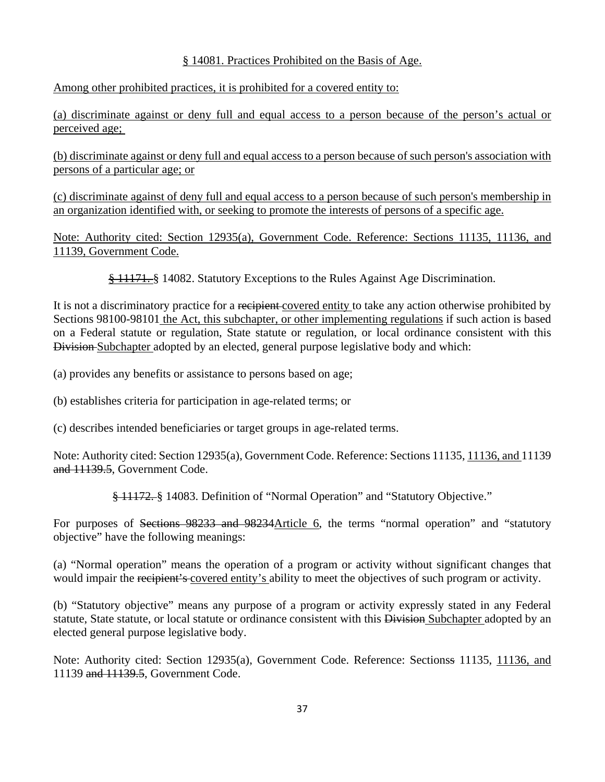#### § 14081. Practices Prohibited on the Basis of Age.

Among other prohibited practices, it is prohibited for a covered entity to:

(a) discriminate against or deny full and equal access to a person because of the person's actual or perceived age;

(b) discriminate against or deny full and equal access to a person because of such person's association with persons of a particular age; or

(c) discriminate against of deny full and equal access to a person because of such person's membership in an organization identified with, or seeking to promote the interests of persons of a specific age.

Note: Authority cited: Section 12935(a), Government Code. Reference: Sections 11135, 11136, and 11139, Government Code.

§ 11171. § 14082. Statutory Exceptions to the Rules Against Age Discrimination.

It is not a discriminatory practice for a recipient covered entity to take any action otherwise prohibited by Sections 98100-98101 the Act, this subchapter, or other implementing regulations if such action is based on a Federal statute or regulation, State statute or regulation, or local ordinance consistent with this Division Subchapter adopted by an elected, general purpose legislative body and which:

(a) provides any benefits or assistance to persons based on age;

(b) establishes criteria for participation in age-related terms; or

(c) describes intended beneficiaries or target groups in age-related terms.

Note: Authority cited: Section 12935(a), Government Code. Reference: Sections 11135, 11136, and 11139 and 11139.5, Government Code.

§ 11172. § 14083. Definition of "Normal Operation" and "Statutory Objective."

For purposes of Sections 98233 and 98234Article 6, the terms "normal operation" and "statutory objective" have the following meanings:

(a) "Normal operation" means the operation of a program or activity without significant changes that would impair the recipient's covered entity's ability to meet the objectives of such program or activity.

(b) "Statutory objective" means any purpose of a program or activity expressly stated in any Federal statute, State statute, or local statute or ordinance consistent with this Division Subchapter adopted by an elected general purpose legislative body.

Note: Authority cited: Section 12935(a), Government Code. Reference: Sectionss 11135, 11136, and 11139 and 11139.5, Government Code.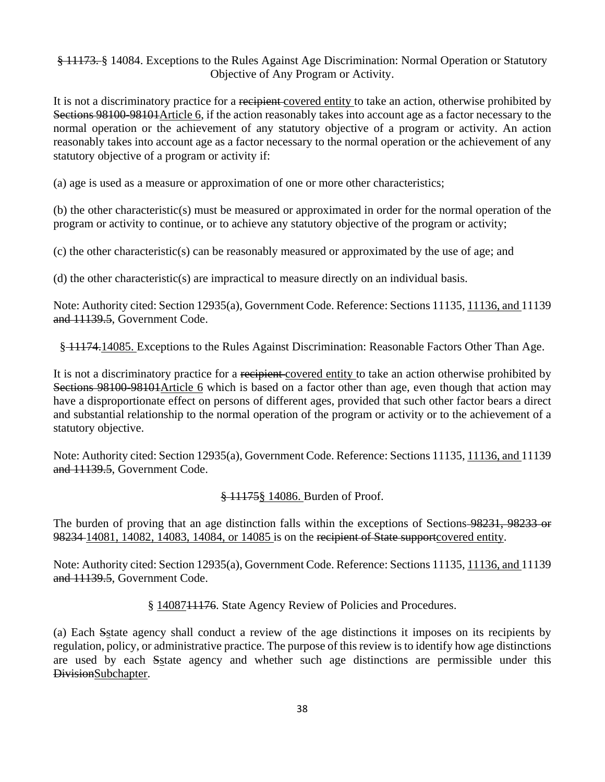§ 11173. § 14084. Exceptions to the Rules Against Age Discrimination: Normal Operation or Statutory Objective of Any Program or Activity.

It is not a discriminatory practice for a recipient-covered entity to take an action, otherwise prohibited by Sections 98100-98101Article 6, if the action reasonably takes into account age as a factor necessary to the normal operation or the achievement of any statutory objective of a program or activity. An action reasonably takes into account age as a factor necessary to the normal operation or the achievement of any statutory objective of a program or activity if:

(a) age is used as a measure or approximation of one or more other characteristics;

(b) the other characteristic(s) must be measured or approximated in order for the normal operation of the program or activity to continue, or to achieve any statutory objective of the program or activity;

(c) the other characteristic(s) can be reasonably measured or approximated by the use of age; and

(d) the other characteristic(s) are impractical to measure directly on an individual basis.

Note: Authority cited: Section 12935(a), Government Code. Reference: Sections 11135, 11136, and 11139 and 11139.5, Government Code.

§ 11174.14085. Exceptions to the Rules Against Discrimination: Reasonable Factors Other Than Age.

It is not a discriminatory practice for a recipient-covered entity to take an action otherwise prohibited by Sections 98100-98101 Article 6 which is based on a factor other than age, even though that action may have a disproportionate effect on persons of different ages, provided that such other factor bears a direct and substantial relationship to the normal operation of the program or activity or to the achievement of a statutory objective.

Note: Authority cited: Section 12935(a), Government Code. Reference: Sections 11135, 11136, and 11139 and 11139.5, Government Code.

§ 11175§ 14086. Burden of Proof.

The burden of proving that an age distinction falls within the exceptions of Sections 98231, 98233 or 98234 14081, 14082, 14083, 14084, or 14085 is on the recipient of State supportcovered entity.

Note: Authority cited: Section 12935(a), Government Code. Reference: Sections 11135, 11136, and 11139 and 11139.5, Government Code.

§ 1408711176. State Agency Review of Policies and Procedures.

(a) Each Sstate agency shall conduct a review of the age distinctions it imposes on its recipients by regulation, policy, or administrative practice. The purpose of this review is to identify how age distinctions are used by each Sstate agency and whether such age distinctions are permissible under this DivisionSubchapter.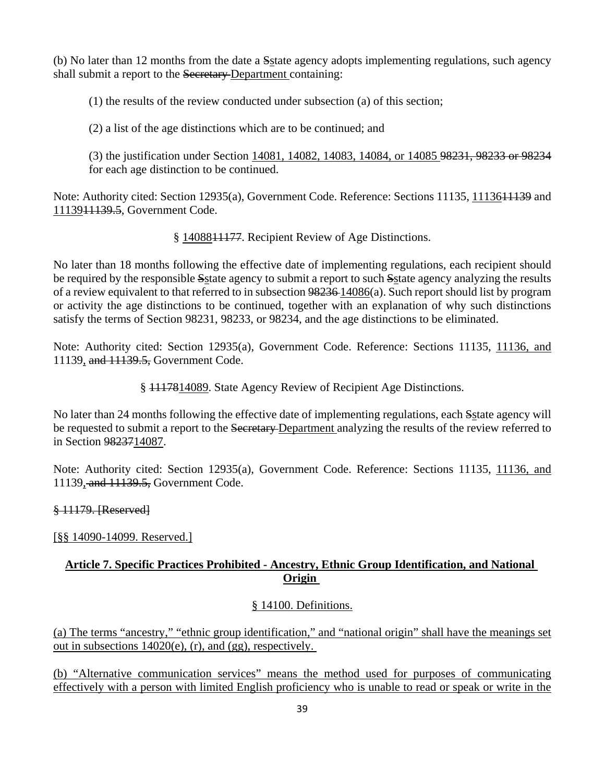(b) No later than 12 months from the date a Sstate agency adopts implementing regulations, such agency shall submit a report to the Secretary-Department containing:

(1) the results of the review conducted under subsection (a) of this section;

(2) a list of the age distinctions which are to be continued; and

(3) the justification under Section 14081, 14082, 14083, 14084, or 14085 98231, 98233 or 98234 for each age distinction to be continued.

Note: Authority cited: Section 12935(a), Government Code. Reference: Sections 11135, 1113611139 and 1113911139.5, Government Code.

§ 1408811177. Recipient Review of Age Distinctions.

No later than 18 months following the effective date of implementing regulations, each recipient should be required by the responsible Sstate agency to submit a report to such Sstate agency analyzing the results of a review equivalent to that referred to in subsection 98236 14086(a). Such report should list by program or activity the age distinctions to be continued, together with an explanation of why such distinctions satisfy the terms of Section 98231, 98233, or 98234, and the age distinctions to be eliminated.

Note: Authority cited: Section 12935(a), Government Code. Reference: Sections 11135, 11136, and 11139, and 11139.5, Government Code.

§ 1117814089. State Agency Review of Recipient Age Distinctions.

No later than 24 months following the effective date of implementing regulations, each Sstate agency will be requested to submit a report to the Secretary-Department analyzing the results of the review referred to in Section 9823714087.

Note: Authority cited: Section 12935(a), Government Code. Reference: Sections 11135, 11136, and 11139, and 11139.5, Government Code.

§ 11179. [Reserved]

[§§ 14090-14099. Reserved.]

# **Article 7. Specific Practices Prohibited - Ancestry, Ethnic Group Identification, and National Origin**

#### § 14100. Definitions.

(a) The terms "ancestry," "ethnic group identification," and "national origin" shall have the meanings set out in subsections 14020(e), (r), and (gg), respectively.

(b) "Alternative communication services" means the method used for purposes of communicating effectively with a person with limited English proficiency who is unable to read or speak or write in the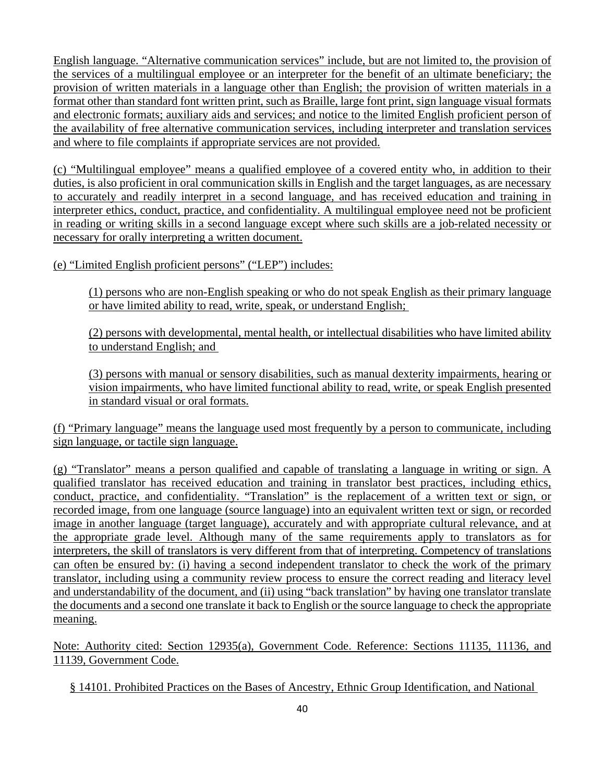English language. "Alternative communication services" include, but are not limited to, the provision of the services of a multilingual employee or an interpreter for the benefit of an ultimate beneficiary; the provision of written materials in a language other than English; the provision of written materials in a format other than standard font written print, such as Braille, large font print, sign language visual formats and electronic formats; auxiliary aids and services; and notice to the limited English proficient person of the availability of free alternative communication services, including interpreter and translation services and where to file complaints if appropriate services are not provided.

(c) "Multilingual employee" means a qualified employee of a covered entity who, in addition to their duties, is also proficient in oral communication skills in English and the target languages, as are necessary to accurately and readily interpret in a second language, and has received education and training in interpreter ethics, conduct, practice, and confidentiality. A multilingual employee need not be proficient in reading or writing skills in a second language except where such skills are a job-related necessity or necessary for orally interpreting a written document.

(e) "Limited English proficient persons" ("LEP") includes:

(1) persons who are non-English speaking or who do not speak English as their primary language or have limited ability to read, write, speak, or understand English;

(2) persons with developmental, mental health, or intellectual disabilities who have limited ability to understand English; and

(3) persons with manual or sensory disabilities, such as manual dexterity impairments, hearing or vision impairments, who have limited functional ability to read, write, or speak English presented in standard visual or oral formats.

(f) "Primary language" means the language used most frequently by a person to communicate, including sign language, or tactile sign language.

(g) "Translator" means a person qualified and capable of translating a language in writing or sign. A qualified translator has received education and training in translator best practices, including ethics, conduct, practice, and confidentiality. "Translation" is the replacement of a written text or sign, or recorded image, from one language (source language) into an equivalent written text or sign, or recorded image in another language (target language), accurately and with appropriate cultural relevance, and at the appropriate grade level. Although many of the same requirements apply to translators as for interpreters, the skill of translators is very different from that of interpreting. Competency of translations can often be ensured by: (i) having a second independent translator to check the work of the primary translator, including using a community review process to ensure the correct reading and literacy level and understandability of the document, and (ii) using "back translation" by having one translator translate the documents and a second one translate it back to English or the source language to check the appropriate meaning.

Note: Authority cited: Section 12935(a), Government Code. Reference: Sections 11135, 11136, and 11139, Government Code.

§ 14101. Prohibited Practices on the Bases of Ancestry, Ethnic Group Identification, and National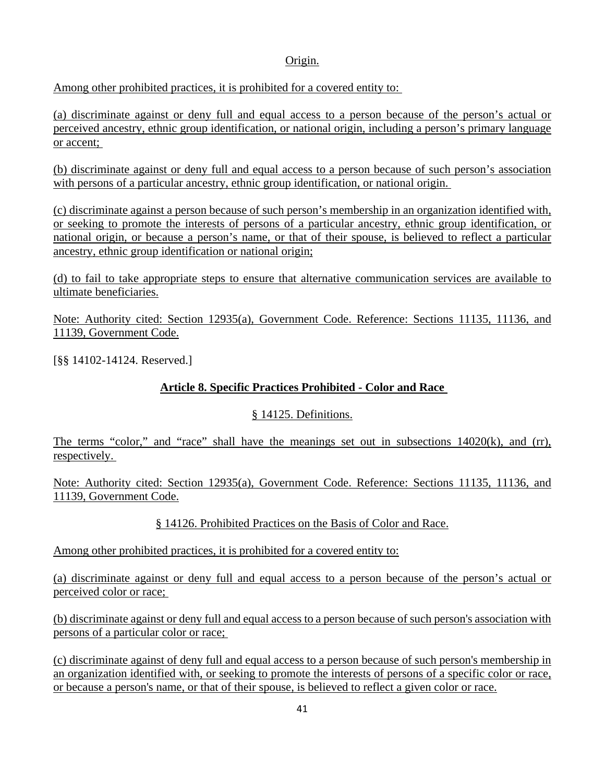# Origin.

Among other prohibited practices, it is prohibited for a covered entity to:

(a) discriminate against or deny full and equal access to a person because of the person's actual or perceived ancestry, ethnic group identification, or national origin, including a person's primary language or accent;

(b) discriminate against or deny full and equal access to a person because of such person's association with persons of a particular ancestry, ethnic group identification, or national origin.

(c) discriminate against a person because of such person's membership in an organization identified with, or seeking to promote the interests of persons of a particular ancestry, ethnic group identification, or national origin, or because a person's name, or that of their spouse, is believed to reflect a particular ancestry, ethnic group identification or national origin;

(d) to fail to take appropriate steps to ensure that alternative communication services are available to ultimate beneficiaries.

Note: Authority cited: Section 12935(a), Government Code. Reference: Sections 11135, 11136, and 11139, Government Code.

[§§ 14102-14124. Reserved.]

# **Article 8. Specific Practices Prohibited - Color and Race**

# § 14125. Definitions.

The terms "color," and "race" shall have the meanings set out in subsections 14020(k), and (rr), respectively.

Note: Authority cited: Section 12935(a), Government Code. Reference: Sections 11135, 11136, and 11139, Government Code.

§ 14126. Prohibited Practices on the Basis of Color and Race.

Among other prohibited practices, it is prohibited for a covered entity to:

(a) discriminate against or deny full and equal access to a person because of the person's actual or perceived color or race;

(b) discriminate against or deny full and equal access to a person because of such person's association with persons of a particular color or race;

(c) discriminate against of deny full and equal access to a person because of such person's membership in an organization identified with, or seeking to promote the interests of persons of a specific color or race, or because a person's name, or that of their spouse, is believed to reflect a given color or race.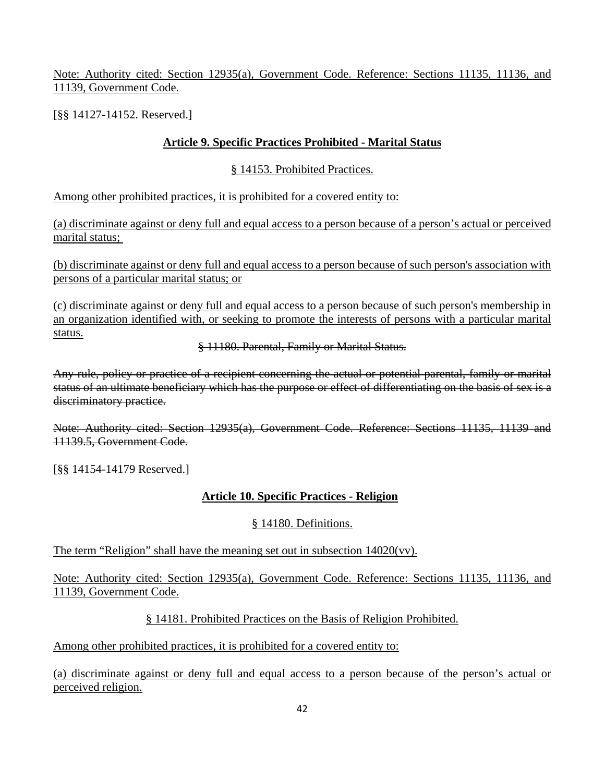Note: Authority cited: Section 12935(a), Government Code. Reference: Sections 11135, 11136, and 11139, Government Code.

[§§ 14127-14152. Reserved.]

#### **Article 9. Specific Practices Prohibited - Marital Status**

§ 14153. Prohibited Practices.

Among other prohibited practices, it is prohibited for a covered entity to:

(a) discriminate against or deny full and equal access to a person because of a person's actual or perceived marital status;

(b) discriminate against or deny full and equal access to a person because of such person's association with persons of a particular marital status; or

(c) discriminate against or deny full and equal access to a person because of such person's membership in an organization identified with, or seeking to promote the interests of persons with a particular marital status.

§ 11180. Parental, Family or Marital Status.

Any rule, policy or practice of a recipient concerning the actual or potential parental, family or marital status of an ultimate beneficiary which has the purpose or effect of differentiating on the basis of sex is a discriminatory practice.

Note: Authority cited: Section 12935(a), Government Code. Reference: Sections 11135, 11139 and 11139.5, Government Code.

[§§ 14154-14179 Reserved.]

#### **Article 10. Specific Practices - Religion**

#### § 14180. Definitions.

The term "Religion" shall have the meaning set out in subsection 14020(vv).

Note: Authority cited: Section 12935(a), Government Code. Reference: Sections 11135, 11136, and 11139, Government Code.

§ 14181. Prohibited Practices on the Basis of Religion Prohibited.

Among other prohibited practices, it is prohibited for a covered entity to:

(a) discriminate against or deny full and equal access to a person because of the person's actual or perceived religion.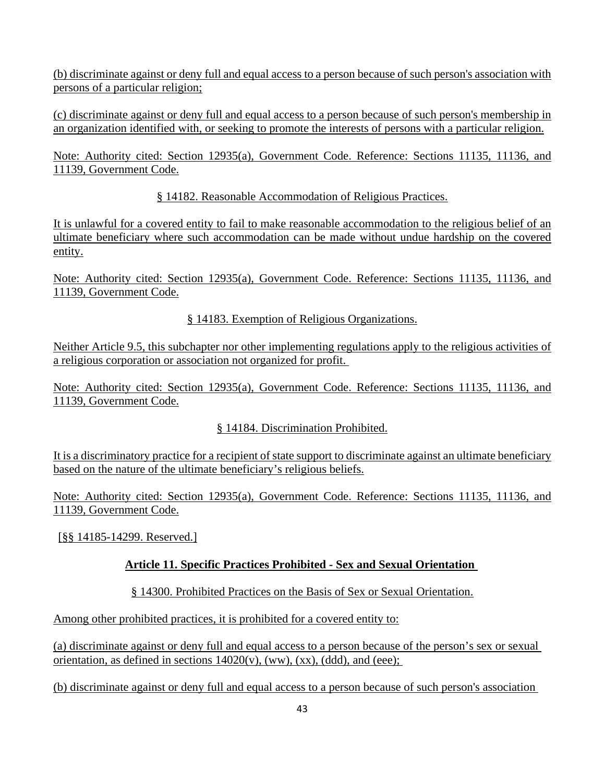(b) discriminate against or deny full and equal access to a person because of such person's association with persons of a particular religion;

(c) discriminate against or deny full and equal access to a person because of such person's membership in an organization identified with, or seeking to promote the interests of persons with a particular religion.

Note: Authority cited: Section 12935(a), Government Code. Reference: Sections 11135, 11136, and 11139, Government Code.

§ 14182. Reasonable Accommodation of Religious Practices.

It is unlawful for a covered entity to fail to make reasonable accommodation to the religious belief of an ultimate beneficiary where such accommodation can be made without undue hardship on the covered entity.

Note: Authority cited: Section 12935(a), Government Code. Reference: Sections 11135, 11136, and 11139, Government Code.

§ 14183. Exemption of Religious Organizations.

Neither Article 9.5, this subchapter nor other implementing regulations apply to the religious activities of a religious corporation or association not organized for profit.

Note: Authority cited: Section 12935(a), Government Code. Reference: Sections 11135, 11136, and 11139, Government Code.

§ 14184. Discrimination Prohibited.

It is a discriminatory practice for a recipient of state support to discriminate against an ultimate beneficiary based on the nature of the ultimate beneficiary's religious beliefs.

Note: Authority cited: Section 12935(a), Government Code. Reference: Sections 11135, 11136, and 11139, Government Code.

[§§ 14185-14299. Reserved.]

# **Article 11. Specific Practices Prohibited - Sex and Sexual Orientation**

§ 14300. Prohibited Practices on the Basis of Sex or Sexual Orientation.

Among other prohibited practices, it is prohibited for a covered entity to:

(a) discriminate against or deny full and equal access to a person because of the person's sex or sexual orientation, as defined in sections  $14020(v)$ , (ww), (xx), (ddd), and (eee);

(b) discriminate against or deny full and equal access to a person because of such person's association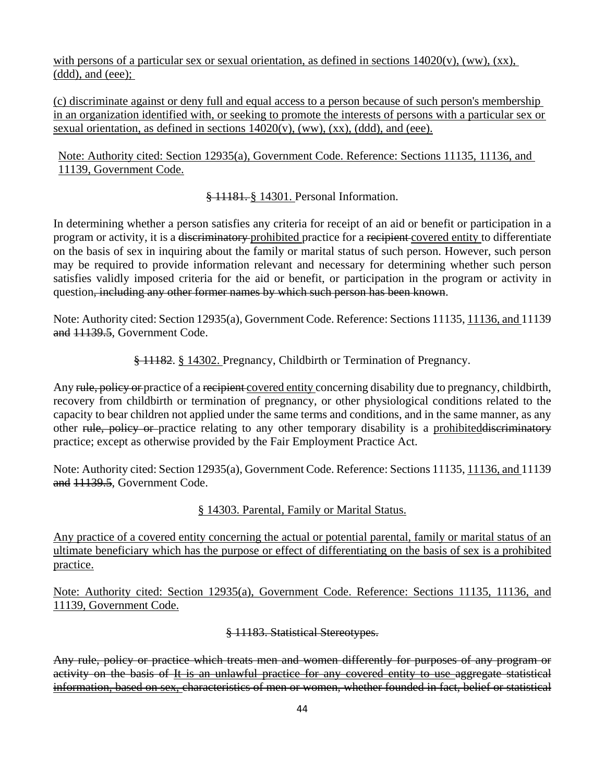with persons of a particular sex or sexual orientation, as defined in sections  $14020(v)$ , (ww), (xx),  $(ddd)$ , and  $(eee)$ ;

(c) discriminate against or deny full and equal access to a person because of such person's membership in an organization identified with, or seeking to promote the interests of persons with a particular sex or sexual orientation, as defined in sections  $14020(v)$ , (ww), (xx), (ddd), and (eee).

Note: Authority cited: Section 12935(a), Government Code. Reference: Sections 11135, 11136, and 11139, Government Code.

§ 11181. § 14301. Personal Information.

In determining whether a person satisfies any criteria for receipt of an aid or benefit or participation in a program or activity, it is a <del>discriminatory</del> prohibited practice for a recipient covered entity to differentiate on the basis of sex in inquiring about the family or marital status of such person. However, such person may be required to provide information relevant and necessary for determining whether such person satisfies validly imposed criteria for the aid or benefit, or participation in the program or activity in question, including any other former names by which such person has been known.

Note: Authority cited: Section 12935(a), Government Code. Reference: Sections 11135, 11136, and 11139 and 11139.5, Government Code.

§ 11182. § 14302. Pregnancy, Childbirth or Termination of Pregnancy.

Any rule, policy or practice of a recipient covered entity concerning disability due to pregnancy, childbirth, recovery from childbirth or termination of pregnancy, or other physiological conditions related to the capacity to bear children not applied under the same terms and conditions, and in the same manner, as any other rule, policy or practice relating to any other temporary disability is a prohibiteddiscriminatory practice; except as otherwise provided by the Fair Employment Practice Act.

Note: Authority cited: Section 12935(a), Government Code. Reference: Sections 11135, 11136, and 11139 and 11139.5, Government Code.

§ 14303. Parental, Family or Marital Status.

Any practice of a covered entity concerning the actual or potential parental, family or marital status of an ultimate beneficiary which has the purpose or effect of differentiating on the basis of sex is a prohibited practice.

Note: Authority cited: Section 12935(a), Government Code. Reference: Sections 11135, 11136, and 11139, Government Code.

§ 11183. Statistical Stereotypes.

Any rule, policy or practice which treats men and women differently for purposes of any program or activity on the basis of It is an unlawful practice for any covered entity to use aggregate statistical information, based on sex, characteristics of men or women, whether founded in fact, belief or statistical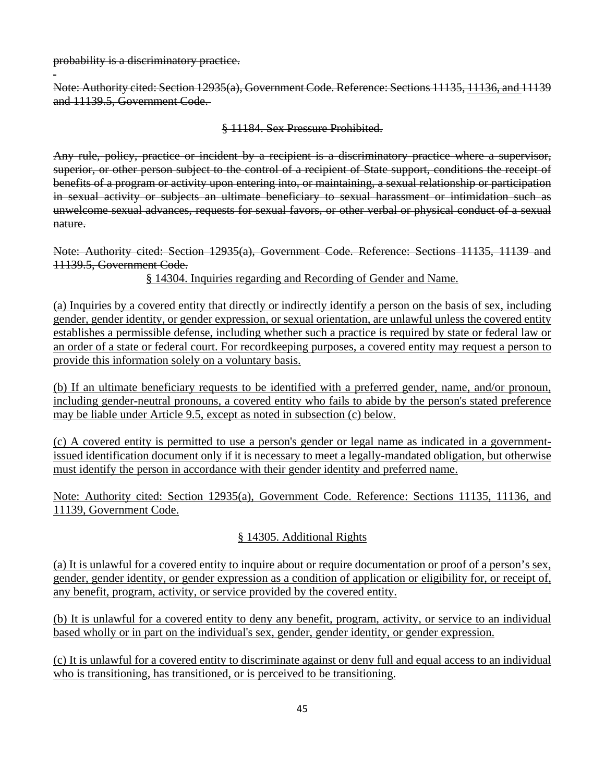probability is a discriminatory practice.

 $\overline{a}$ 

Note: Authority cited: Section 12935(a), Government Code. Reference: Sections 11135, 11136, and 11139 and 11139.5, Government Code.

§ 11184. Sex Pressure Prohibited.

Any rule, policy, practice or incident by a recipient is a discriminatory practice where a supervisor, superior, or other person subject to the control of a recipient of State support, conditions the receipt of benefits of a program or activity upon entering into, or maintaining, a sexual relationship or participation in sexual activity or subjects an ultimate beneficiary to sexual harassment or intimidation such as unwelcome sexual advances, requests for sexual favors, or other verbal or physical conduct of a sexual nature.

Note: Authority cited: Section 12935(a), Government Code. Reference: Sections 11135, 11139 and 11139.5, Government Code.

§ 14304. Inquiries regarding and Recording of Gender and Name.

(a) Inquiries by a covered entity that directly or indirectly identify a person on the basis of sex, including gender, gender identity, or gender expression, or sexual orientation, are unlawful unless the covered entity establishes a permissible defense, including whether such a practice is required by state or federal law or an order of a state or federal court. For recordkeeping purposes, a covered entity may request a person to provide this information solely on a voluntary basis.

(b) If an ultimate beneficiary requests to be identified with a preferred gender, name, and/or pronoun, including gender-neutral pronouns, a covered entity who fails to abide by the person's stated preference may be liable under Article 9.5, except as noted in subsection (c) below.

(c) A covered entity is permitted to use a person's gender or legal name as indicated in a governmentissued identification document only if it is necessary to meet a legally-mandated obligation, but otherwise must identify the person in accordance with their gender identity and preferred name.

Note: Authority cited: Section 12935(a), Government Code. Reference: Sections 11135, 11136, and 11139, Government Code.

#### § 14305. Additional Rights

(a) It is unlawful for a covered entity to inquire about or require documentation or proof of a person's sex, gender, gender identity, or gender expression as a condition of application or eligibility for, or receipt of, any benefit, program, activity, or service provided by the covered entity.

(b) It is unlawful for a covered entity to deny any benefit, program, activity, or service to an individual based wholly or in part on the individual's sex, gender, gender identity, or gender expression.

(c) It is unlawful for a covered entity to discriminate against or deny full and equal access to an individual who is transitioning, has transitioned, or is perceived to be transitioning.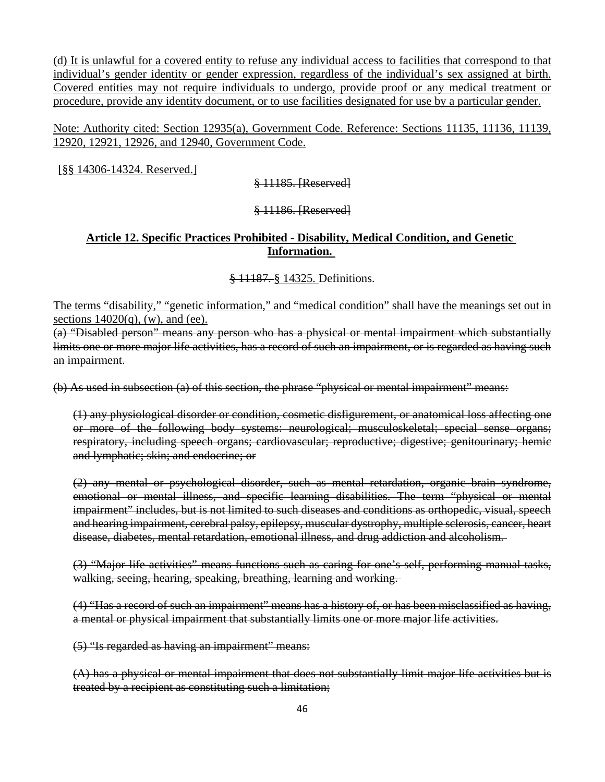(d) It is unlawful for a covered entity to refuse any individual access to facilities that correspond to that individual's gender identity or gender expression, regardless of the individual's sex assigned at birth. Covered entities may not require individuals to undergo, provide proof or any medical treatment or procedure, provide any identity document, or to use facilities designated for use by a particular gender.

Note: Authority cited: Section 12935(a), Government Code. Reference: Sections 11135, 11136, 11139, 12920, 12921, 12926, and 12940, Government Code.

[§§ 14306-14324. Reserved.]

§ 11185. [Reserved]

#### § 11186. [Reserved]

#### **Article 12. Specific Practices Prohibited - Disability, Medical Condition, and Genetic Information.**

#### § 11187. § 14325. Definitions.

The terms "disability," "genetic information," and "medical condition" shall have the meanings set out in sections  $14020(q)$ , (w), and (ee).

(a) "Disabled person" means any person who has a physical or mental impairment which substantially limits one or more major life activities, has a record of such an impairment, or is regarded as having such an impairment.

(b) As used in subsection (a) of this section, the phrase "physical or mental impairment" means:

(1) any physiological disorder or condition, cosmetic disfigurement, or anatomical loss affecting one or more of the following body systems: neurological; musculoskeletal; special sense organs; respiratory, including speech organs; cardiovascular; reproductive; digestive; genitourinary; hemic and lymphatic; skin; and endocrine; or

(2) any mental or psychological disorder, such as mental retardation, organic brain syndrome, emotional or mental illness, and specific learning disabilities. The term "physical or mental impairment" includes, but is not limited to such diseases and conditions as orthopedic, visual, speech and hearing impairment, cerebral palsy, epilepsy, muscular dystrophy, multiple sclerosis, cancer, heart disease, diabetes, mental retardation, emotional illness, and drug addiction and alcoholism.

(3) "Major life activities" means functions such as caring for one's self, performing manual tasks, walking, seeing, hearing, speaking, breathing, learning and working.

(4) "Has a record of such an impairment" means has a history of, or has been misclassified as having, a mental or physical impairment that substantially limits one or more major life activities.

(5) "Is regarded as having an impairment" means:

(A) has a physical or mental impairment that does not substantially limit major life activities but is treated by a recipient as constituting such a limitation;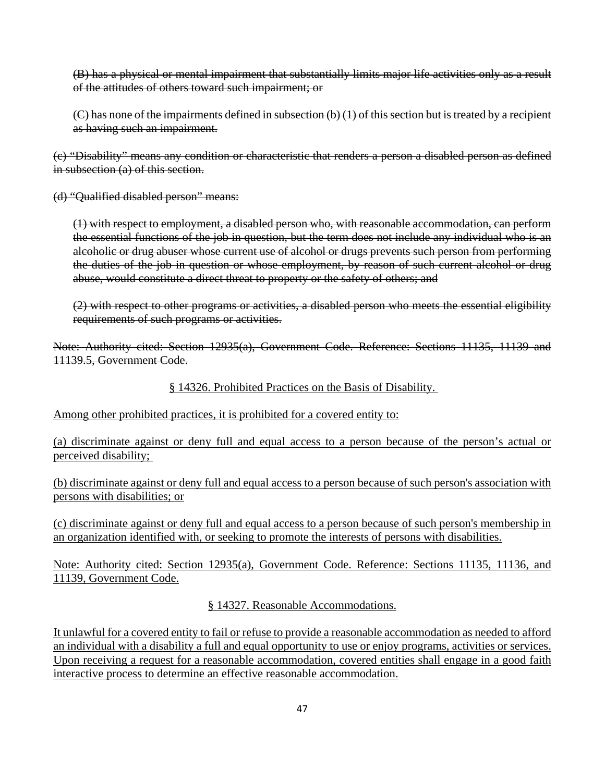(B) has a physical or mental impairment that substantially limits major life activities only as a result of the attitudes of others toward such impairment; or

(C) has none of the impairments defined in subsection (b) (1) of this section but is treated by a recipient as having such an impairment.

(c) "Disability" means any condition or characteristic that renders a person a disabled person as defined in subsection (a) of this section.

(d) "Qualified disabled person" means:

(1) with respect to employment, a disabled person who, with reasonable accommodation, can perform the essential functions of the job in question, but the term does not include any individual who is an alcoholic or drug abuser whose current use of alcohol or drugs prevents such person from performing the duties of the job in question or whose employment, by reason of such current alcohol or drug abuse, would constitute a direct threat to property or the safety of others; and

(2) with respect to other programs or activities, a disabled person who meets the essential eligibility requirements of such programs or activities.

Note: Authority cited: Section 12935(a), Government Code. Reference: Sections 11135, 11139 and 11139.5, Government Code.

§ 14326. Prohibited Practices on the Basis of Disability.

Among other prohibited practices, it is prohibited for a covered entity to:

(a) discriminate against or deny full and equal access to a person because of the person's actual or perceived disability;

(b) discriminate against or deny full and equal access to a person because of such person's association with persons with disabilities; or

(c) discriminate against or deny full and equal access to a person because of such person's membership in an organization identified with, or seeking to promote the interests of persons with disabilities.

Note: Authority cited: Section 12935(a), Government Code. Reference: Sections 11135, 11136, and 11139, Government Code.

#### § 14327. Reasonable Accommodations.

It unlawful for a covered entity to fail or refuse to provide a reasonable accommodation as needed to afford an individual with a disability a full and equal opportunity to use or enjoy programs, activities or services. Upon receiving a request for a reasonable accommodation, covered entities shall engage in a good faith interactive process to determine an effective reasonable accommodation.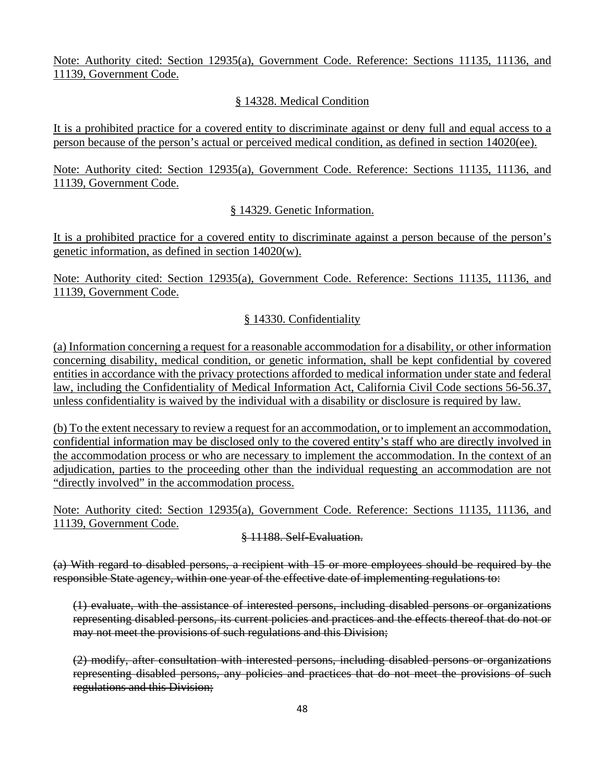Note: Authority cited: Section 12935(a), Government Code. Reference: Sections 11135, 11136, and 11139, Government Code.

#### § 14328. Medical Condition

It is a prohibited practice for a covered entity to discriminate against or deny full and equal access to a person because of the person's actual or perceived medical condition, as defined in section 14020(ee).

Note: Authority cited: Section 12935(a), Government Code. Reference: Sections 11135, 11136, and 11139, Government Code.

#### § 14329. Genetic Information.

It is a prohibited practice for a covered entity to discriminate against a person because of the person's genetic information, as defined in section 14020(w).

Note: Authority cited: Section 12935(a), Government Code. Reference: Sections 11135, 11136, and 11139, Government Code.

#### § 14330. Confidentiality

(a) Information concerning a request for a reasonable accommodation for a disability, or other information concerning disability, medical condition, or genetic information, shall be kept confidential by covered entities in accordance with the privacy protections afforded to medical information under state and federal law, including the Confidentiality of Medical Information Act, California Civil Code sections 56-56.37, unless confidentiality is waived by the individual with a disability or disclosure is required by law.

(b) To the extent necessary to review a request for an accommodation, or to implement an accommodation, confidential information may be disclosed only to the covered entity's staff who are directly involved in the accommodation process or who are necessary to implement the accommodation. In the context of an adjudication, parties to the proceeding other than the individual requesting an accommodation are not "directly involved" in the accommodation process.

Note: Authority cited: Section 12935(a), Government Code. Reference: Sections 11135, 11136, and 11139, Government Code.

#### § 11188. Self-Evaluation.

(a) With regard to disabled persons, a recipient with 15 or more employees should be required by the responsible State agency, within one year of the effective date of implementing regulations to:

(1) evaluate, with the assistance of interested persons, including disabled persons or organizations representing disabled persons, its current policies and practices and the effects thereof that do not or may not meet the provisions of such regulations and this Division;

(2) modify, after consultation with interested persons, including disabled persons or organizations representing disabled persons, any policies and practices that do not meet the provisions of such regulations and this Division;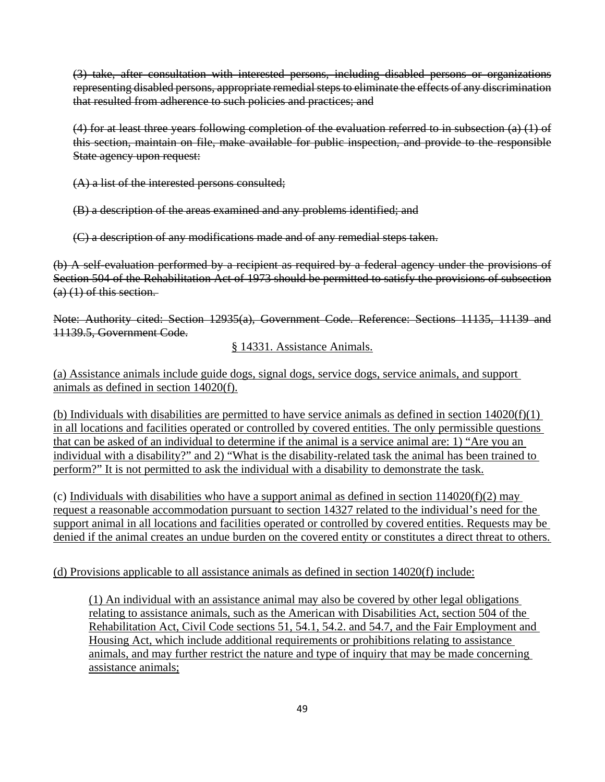(3) take, after consultation with interested persons, including disabled persons or organizations representing disabled persons, appropriate remedial steps to eliminate the effects of any discrimination that resulted from adherence to such policies and practices; and

(4) for at least three years following completion of the evaluation referred to in subsection (a) (1) of this section, maintain on file, make available for public inspection, and provide to the responsible State agency upon request:

(A) a list of the interested persons consulted;

(B) a description of the areas examined and any problems identified; and

(C) a description of any modifications made and of any remedial steps taken.

(b) A self-evaluation performed by a recipient as required by a federal agency under the provisions of Section 504 of the Rehabilitation Act of 1973 should be permitted to satisfy the provisions of subsection  $(a)$  (1) of this section.

Note: Authority cited: Section 12935(a), Government Code. Reference: Sections 11135, 11139 and 11139.5, Government Code.

§ 14331. Assistance Animals.

(a) Assistance animals include guide dogs, signal dogs, service dogs, service animals, and support animals as defined in section 14020(f).

(b) Individuals with disabilities are permitted to have service animals as defined in section  $14020(f)(1)$ in all locations and facilities operated or controlled by covered entities. The only permissible questions that can be asked of an individual to determine if the animal is a service animal are: 1) "Are you an individual with a disability?" and 2) "What is the disability-related task the animal has been trained to perform?" It is not permitted to ask the individual with a disability to demonstrate the task.

(c) Individuals with disabilities who have a support animal as defined in section  $114020(f)(2)$  may request a reasonable accommodation pursuant to section 14327 related to the individual's need for the support animal in all locations and facilities operated or controlled by covered entities. Requests may be denied if the animal creates an undue burden on the covered entity or constitutes a direct threat to others.

#### (d) Provisions applicable to all assistance animals as defined in section 14020(f) include:

(1) An individual with an assistance animal may also be covered by other legal obligations relating to assistance animals, such as the American with Disabilities Act, section 504 of the Rehabilitation Act, Civil Code sections 51, 54.1, 54.2. and 54.7, and the Fair Employment and Housing Act, which include additional requirements or prohibitions relating to assistance animals, and may further restrict the nature and type of inquiry that may be made concerning assistance animals;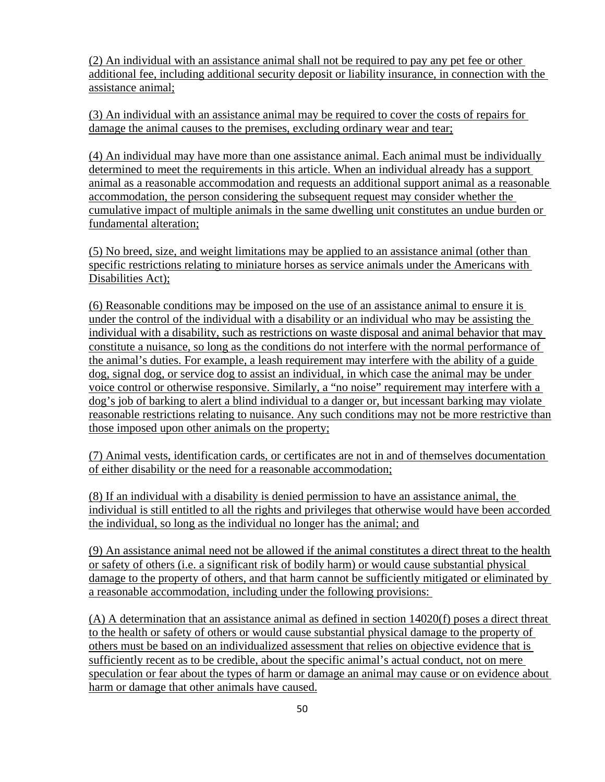(2) An individual with an assistance animal shall not be required to pay any pet fee or other additional fee, including additional security deposit or liability insurance, in connection with the assistance animal;

(3) An individual with an assistance animal may be required to cover the costs of repairs for damage the animal causes to the premises, excluding ordinary wear and tear;

(4) An individual may have more than one assistance animal. Each animal must be individually determined to meet the requirements in this article. When an individual already has a support animal as a reasonable accommodation and requests an additional support animal as a reasonable accommodation, the person considering the subsequent request may consider whether the cumulative impact of multiple animals in the same dwelling unit constitutes an undue burden or fundamental alteration;

(5) No breed, size, and weight limitations may be applied to an assistance animal (other than specific restrictions relating to miniature horses as service animals under the Americans with Disabilities Act);

(6) Reasonable conditions may be imposed on the use of an assistance animal to ensure it is under the control of the individual with a disability or an individual who may be assisting the individual with a disability, such as restrictions on waste disposal and animal behavior that may constitute a nuisance, so long as the conditions do not interfere with the normal performance of the animal's duties. For example, a leash requirement may interfere with the ability of a guide dog, signal dog, or service dog to assist an individual, in which case the animal may be under voice control or otherwise responsive. Similarly, a "no noise" requirement may interfere with a dog's job of barking to alert a blind individual to a danger or, but incessant barking may violate reasonable restrictions relating to nuisance. Any such conditions may not be more restrictive than those imposed upon other animals on the property;

(7) Animal vests, identification cards, or certificates are not in and of themselves documentation of either disability or the need for a reasonable accommodation;

(8) If an individual with a disability is denied permission to have an assistance animal, the individual is still entitled to all the rights and privileges that otherwise would have been accorded the individual, so long as the individual no longer has the animal; and

(9) An assistance animal need not be allowed if the animal constitutes a direct threat to the health or safety of others (i.e. a significant risk of bodily harm) or would cause substantial physical damage to the property of others, and that harm cannot be sufficiently mitigated or eliminated by a reasonable accommodation, including under the following provisions:

(A) A determination that an assistance animal as defined in section 14020(f) poses a direct threat to the health or safety of others or would cause substantial physical damage to the property of others must be based on an individualized assessment that relies on objective evidence that is sufficiently recent as to be credible, about the specific animal's actual conduct, not on mere speculation or fear about the types of harm or damage an animal may cause or on evidence about harm or damage that other animals have caused.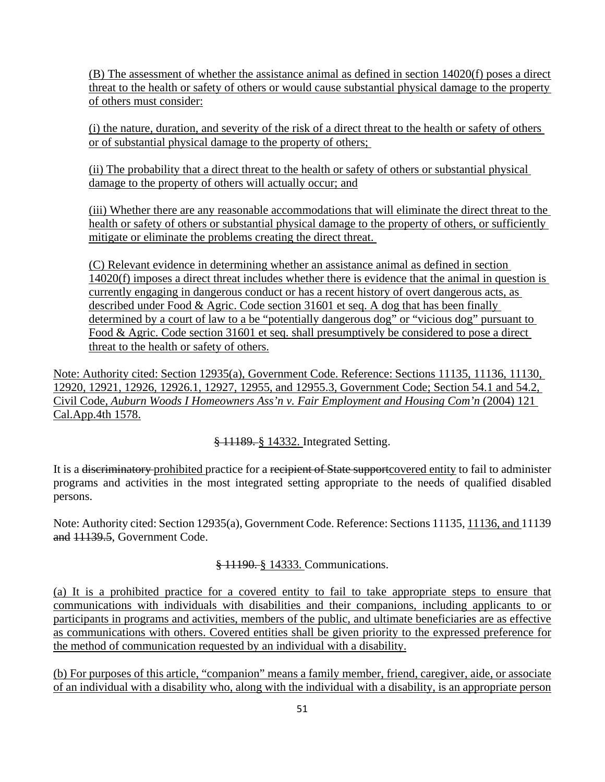(B) The assessment of whether the assistance animal as defined in section 14020(f) poses a direct threat to the health or safety of others or would cause substantial physical damage to the property of others must consider:

(i) the nature, duration, and severity of the risk of a direct threat to the health or safety of others or of substantial physical damage to the property of others;

(ii) The probability that a direct threat to the health or safety of others or substantial physical damage to the property of others will actually occur; and

(iii) Whether there are any reasonable accommodations that will eliminate the direct threat to the health or safety of others or substantial physical damage to the property of others, or sufficiently mitigate or eliminate the problems creating the direct threat.

(C) Relevant evidence in determining whether an assistance animal as defined in section 14020(f) imposes a direct threat includes whether there is evidence that the animal in question is currently engaging in dangerous conduct or has a recent history of overt dangerous acts, as described under Food & Agric. Code section 31601 et seq. A dog that has been finally determined by a court of law to a be "potentially dangerous dog" or "vicious dog" pursuant to Food & Agric. Code section 31601 et seq. shall presumptively be considered to pose a direct threat to the health or safety of others.

Note: Authority cited: Section 12935(a), Government Code. Reference: Sections 11135, 11136, 11130, 12920, 12921, 12926, 12926.1, 12927, 12955, and 12955.3, Government Code; Section 54.1 and 54.2, Civil Code, *Auburn Woods I Homeowners Ass'n v. Fair Employment and Housing Com'n* (2004) 121 Cal.App.4th 1578.

§ 11189. § 14332. Integrated Setting.

It is a <del>discriminatory</del> prohibited practice for a recipient of State support covered entity to fail to administer programs and activities in the most integrated setting appropriate to the needs of qualified disabled persons.

Note: Authority cited: Section 12935(a), Government Code. Reference: Sections 11135, 11136, and 11139 and 11139.5, Government Code.

§ 11190. § 14333. Communications.

(a) It is a prohibited practice for a covered entity to fail to take appropriate steps to ensure that communications with individuals with disabilities and their companions, including applicants to or participants in programs and activities, members of the public, and ultimate beneficiaries are as effective as communications with others. Covered entities shall be given priority to the expressed preference for the method of communication requested by an individual with a disability.

(b) For purposes of this article, "companion" means a family member, friend, caregiver, aide, or associate of an individual with a disability who, along with the individual with a disability, is an appropriate person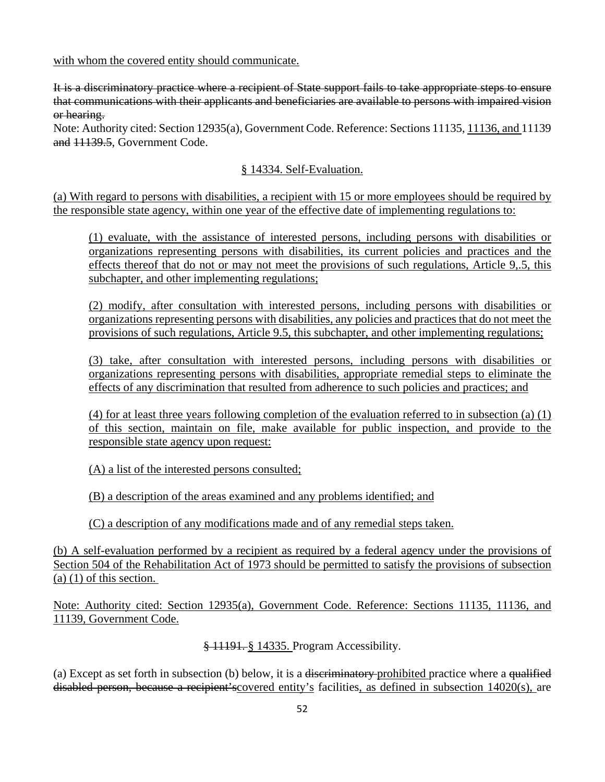with whom the covered entity should communicate.

It is a discriminatory practice where a recipient of State support fails to take appropriate steps to ensure that communications with their applicants and beneficiaries are available to persons with impaired vision or hearing.

Note: Authority cited: Section 12935(a), Government Code. Reference: Sections 11135, 11136, and 11139 and 11139.5, Government Code.

#### § 14334. Self-Evaluation.

(a) With regard to persons with disabilities, a recipient with 15 or more employees should be required by the responsible state agency, within one year of the effective date of implementing regulations to:

(1) evaluate, with the assistance of interested persons, including persons with disabilities or organizations representing persons with disabilities, its current policies and practices and the effects thereof that do not or may not meet the provisions of such regulations, Article 9,.5, this subchapter, and other implementing regulations;

(2) modify, after consultation with interested persons, including persons with disabilities or organizations representing persons with disabilities, any policies and practices that do not meet the provisions of such regulations, Article 9.5, this subchapter, and other implementing regulations;

(3) take, after consultation with interested persons, including persons with disabilities or organizations representing persons with disabilities, appropriate remedial steps to eliminate the effects of any discrimination that resulted from adherence to such policies and practices; and

(4) for at least three years following completion of the evaluation referred to in subsection (a) (1) of this section, maintain on file, make available for public inspection, and provide to the responsible state agency upon request:

(A) a list of the interested persons consulted;

(B) a description of the areas examined and any problems identified; and

(C) a description of any modifications made and of any remedial steps taken.

(b) A self-evaluation performed by a recipient as required by a federal agency under the provisions of Section 504 of the Rehabilitation Act of 1973 should be permitted to satisfy the provisions of subsection (a) (1) of this section.

Note: Authority cited: Section 12935(a), Government Code. Reference: Sections 11135, 11136, and 11139, Government Code.

§ 11191. § 14335. Program Accessibility.

(a) Except as set forth in subsection (b) below, it is a discriminatory prohibited practice where a qualified disabled person, because a recipient's covered entity's facilities, as defined in subsection 14020(s), are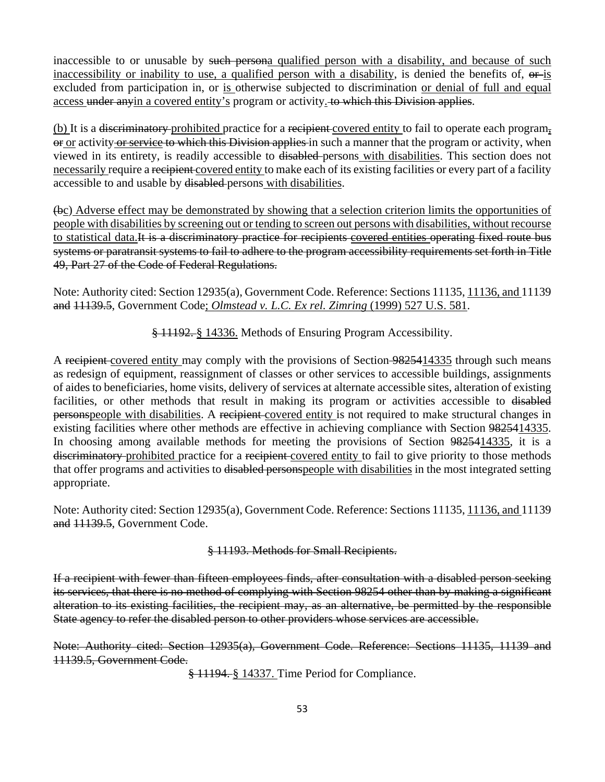inaccessible to or unusable by such persona qualified person with a disability, and because of such inaccessibility or inability to use, a qualified person with a disability, is denied the benefits of,  $\theta$ -is excluded from participation in, or is otherwise subjected to discrimination or denial of full and equal access under anyin a covered entity's program or activity. to which this Division applies.

(b) It is a <del>discriminatory</del> prohibited practice for a recipient covered entity to fail to operate each program, or or activity or service to which this Division applies in such a manner that the program or activity, when viewed in its entirety, is readily accessible to disabled persons with disabilities. This section does not necessarily require a recipient covered entity to make each of its existing facilities or every part of a facility accessible to and usable by disabled persons with disabilities.

(bc) Adverse effect may be demonstrated by showing that a selection criterion limits the opportunities of people with disabilities by screening out or tending to screen out persons with disabilities, without recourse to statistical data.It is a discriminatory practice for recipients covered entities operating fixed route bus systems or paratransit systems to fail to adhere to the program accessibility requirements set forth in Title 49, Part 27 of the Code of Federal Regulations.

Note: Authority cited: Section 12935(a), Government Code. Reference: Sections 11135, 11136, and 11139 and 11139.5, Government Code; *Olmstead v. L.C. Ex rel. Zimring* (1999) 527 U.S. 581.

§ 11192. § 14336. Methods of Ensuring Program Accessibility.

A recipient covered entity may comply with the provisions of Section 9825414335 through such means as redesign of equipment, reassignment of classes or other services to accessible buildings, assignments of aides to beneficiaries, home visits, delivery of services at alternate accessible sites, alteration of existing facilities, or other methods that result in making its program or activities accessible to disabled personspeople with disabilities. A recipient covered entity is not required to make structural changes in existing facilities where other methods are effective in achieving compliance with Section 9825414335. In choosing among available methods for meeting the provisions of Section 9825414335, it is a discriminatory prohibited practice for a recipient-covered entity to fail to give priority to those methods that offer programs and activities to disabled personspeople with disabilities in the most integrated setting appropriate.

Note: Authority cited: Section 12935(a), Government Code. Reference: Sections 11135, 11136, and 11139 and 11139.5, Government Code.

§ 11193. Methods for Small Recipients.

If a recipient with fewer than fifteen employees finds, after consultation with a disabled person seeking its services, that there is no method of complying with Section 98254 other than by making a significant alteration to its existing facilities, the recipient may, as an alternative, be permitted by the responsible State agency to refer the disabled person to other providers whose services are accessible.

Note: Authority cited: Section 12935(a), Government Code. Reference: Sections 11135, 11139 and 11139.5, Government Code.

§ 11194. § 14337. Time Period for Compliance.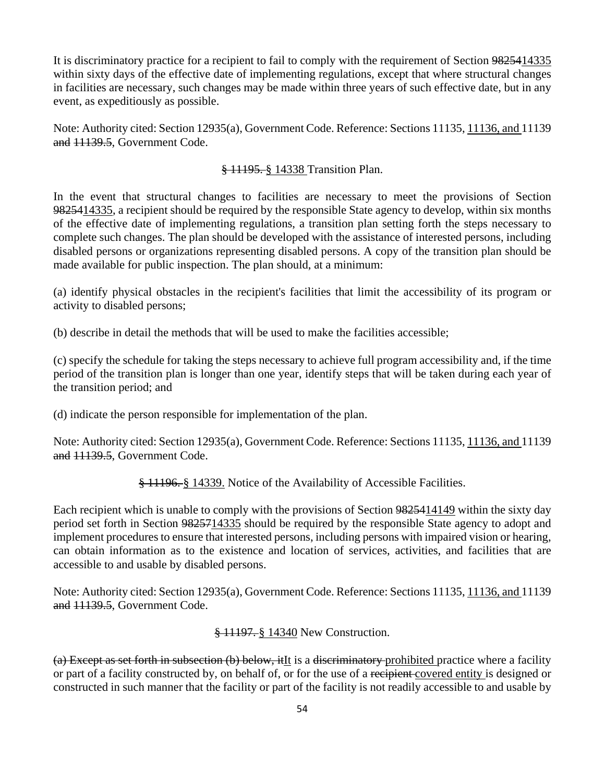It is discriminatory practice for a recipient to fail to comply with the requirement of Section 9825414335 within sixty days of the effective date of implementing regulations, except that where structural changes in facilities are necessary, such changes may be made within three years of such effective date, but in any event, as expeditiously as possible.

Note: Authority cited: Section 12935(a), Government Code. Reference: Sections 11135, 11136, and 11139 and 11139.5, Government Code.

#### § 11195. § 14338 Transition Plan.

In the event that structural changes to facilities are necessary to meet the provisions of Section 9825414335, a recipient should be required by the responsible State agency to develop, within six months of the effective date of implementing regulations, a transition plan setting forth the steps necessary to complete such changes. The plan should be developed with the assistance of interested persons, including disabled persons or organizations representing disabled persons. A copy of the transition plan should be made available for public inspection. The plan should, at a minimum:

(a) identify physical obstacles in the recipient's facilities that limit the accessibility of its program or activity to disabled persons;

(b) describe in detail the methods that will be used to make the facilities accessible;

(c) specify the schedule for taking the steps necessary to achieve full program accessibility and, if the time period of the transition plan is longer than one year, identify steps that will be taken during each year of the transition period; and

(d) indicate the person responsible for implementation of the plan.

Note: Authority cited: Section 12935(a), Government Code. Reference: Sections 11135, 11136, and 11139 and 11139.5, Government Code.

§ 11196. § 14339. Notice of the Availability of Accessible Facilities.

Each recipient which is unable to comply with the provisions of Section 9825414149 within the sixty day period set forth in Section 9825714335 should be required by the responsible State agency to adopt and implement procedures to ensure that interested persons, including persons with impaired vision or hearing, can obtain information as to the existence and location of services, activities, and facilities that are accessible to and usable by disabled persons.

Note: Authority cited: Section 12935(a), Government Code. Reference: Sections 11135, 11136, and 11139 and 11139.5, Government Code.

§ 11197. § 14340 New Construction.

(a) Except as set forth in subsection (b) below, itIt is a discriminatory prohibited practice where a facility or part of a facility constructed by, on behalf of, or for the use of a recipient covered entity is designed or constructed in such manner that the facility or part of the facility is not readily accessible to and usable by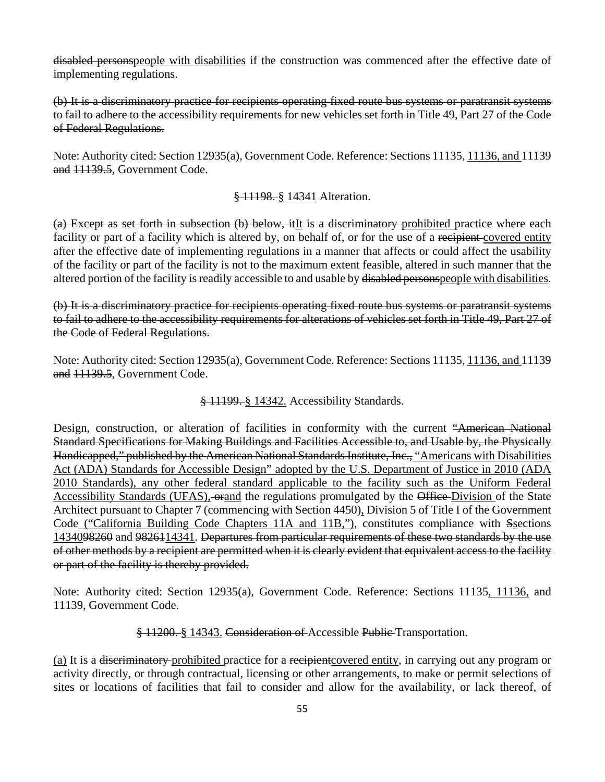disabled personspeople with disabilities if the construction was commenced after the effective date of implementing regulations.

(b) It is a discriminatory practice for recipients operating fixed route bus systems or paratransit systems to fail to adhere to the accessibility requirements for new vehicles set forth in Title 49, Part 27 of the Code of Federal Regulations.

Note: Authority cited: Section 12935(a), Government Code. Reference: Sections 11135, 11136, and 11139 and 11139.5, Government Code.

#### § 11198. § 14341 Alteration.

(a) Except as set forth in subsection (b) below, it<sup> $It$ </sup> is a discriminatory prohibited practice where each facility or part of a facility which is altered by, on behalf of, or for the use of a recipient covered entity after the effective date of implementing regulations in a manner that affects or could affect the usability of the facility or part of the facility is not to the maximum extent feasible, altered in such manner that the altered portion of the facility is readily accessible to and usable by disabled personspeople with disabilities.

(b) It is a discriminatory practice for recipients operating fixed route bus systems or paratransit systems to fail to adhere to the accessibility requirements for alterations of vehicles set forth in Title 49, Part 27 of the Code of Federal Regulations.

Note: Authority cited: Section 12935(a), Government Code. Reference: Sections 11135, 11136, and 11139 and 11139.5, Government Code.

§ 11199. § 14342. Accessibility Standards.

Design, construction, or alteration of facilities in conformity with the current "American National" Standard Specifications for Making Buildings and Facilities Accessible to, and Usable by, the Physically Handicapped," published by the American National Standards Institute, Inc., "Americans with Disabilities Act (ADA) Standards for Accessible Design" adopted by the U.S. Department of Justice in 2010 (ADA 2010 Standards), any other federal standard applicable to the facility such as the Uniform Federal Accessibility Standards (UFAS), orand the regulations promulgated by the Office Division of the State Architect pursuant to Chapter 7 (commencing with Section 4450), Division 5 of Title I of the Government Code ("California Building Code Chapters 11A and 11B,"), constitutes compliance with Ssections 1434098260 and 9826114341. Departures from particular requirements of these two standards by the use of other methods by a recipient are permitted when it is clearly evident that equivalent access to the facility or part of the facility is thereby provided.

Note: Authority cited: Section 12935(a), Government Code. Reference: Sections 11135, 11136, and 11139, Government Code.

§ 11200. § 14343. Consideration of Accessible Public Transportation.

(a) It is a discriminatory prohibited practice for a recipientcovered entity, in carrying out any program or activity directly, or through contractual, licensing or other arrangements, to make or permit selections of sites or locations of facilities that fail to consider and allow for the availability, or lack thereof, of